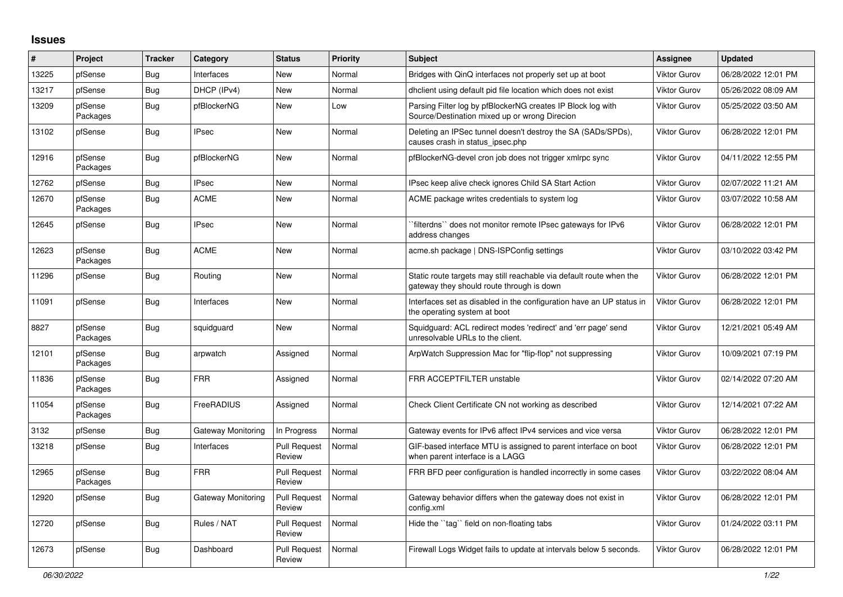## **Issues**

| #     | Project             | <b>Tracker</b> | Category           | <b>Status</b>                 | <b>Priority</b> | <b>Subject</b>                                                                                                   | <b>Assignee</b>     | <b>Updated</b>      |
|-------|---------------------|----------------|--------------------|-------------------------------|-----------------|------------------------------------------------------------------------------------------------------------------|---------------------|---------------------|
| 13225 | pfSense             | Bug            | Interfaces         | <b>New</b>                    | Normal          | Bridges with QinQ interfaces not properly set up at boot                                                         | Viktor Gurov        | 06/28/2022 12:01 PM |
| 13217 | pfSense             | <b>Bug</b>     | DHCP (IPv4)        | <b>New</b>                    | Normal          | dhclient using default pid file location which does not exist                                                    | Viktor Gurov        | 05/26/2022 08:09 AM |
| 13209 | pfSense<br>Packages | <b>Bug</b>     | pfBlockerNG        | <b>New</b>                    | Low             | Parsing Filter log by pfBlockerNG creates IP Block log with<br>Source/Destination mixed up or wrong Direcion     | Viktor Gurov        | 05/25/2022 03:50 AM |
| 13102 | pfSense             | <b>Bug</b>     | <b>IPsec</b>       | New                           | Normal          | Deleting an IPSec tunnel doesn't destroy the SA (SADs/SPDs),<br>causes crash in status ipsec.php                 | Viktor Gurov        | 06/28/2022 12:01 PM |
| 12916 | pfSense<br>Packages | <b>Bug</b>     | pfBlockerNG        | New                           | Normal          | pfBlockerNG-devel cron job does not trigger xmlrpc sync                                                          | Viktor Gurov        | 04/11/2022 12:55 PM |
| 12762 | pfSense             | <b>Bug</b>     | <b>IPsec</b>       | New                           | Normal          | IPsec keep alive check ignores Child SA Start Action                                                             | Viktor Gurov        | 02/07/2022 11:21 AM |
| 12670 | pfSense<br>Packages | Bug            | <b>ACME</b>        | New                           | Normal          | ACME package writes credentials to system log                                                                    | Viktor Gurov        | 03/07/2022 10:58 AM |
| 12645 | pfSense             | Bug            | <b>IPsec</b>       | New                           | Normal          | filterdns" does not monitor remote IPsec gateways for IPv6<br>address changes                                    | Viktor Gurov        | 06/28/2022 12:01 PM |
| 12623 | pfSense<br>Packages | <b>Bug</b>     | <b>ACME</b>        | New                           | Normal          | acme.sh package   DNS-ISPConfig settings                                                                         | Viktor Gurov        | 03/10/2022 03:42 PM |
| 11296 | pfSense             | Bug            | Routing            | New                           | Normal          | Static route targets may still reachable via default route when the<br>gateway they should route through is down | Viktor Gurov        | 06/28/2022 12:01 PM |
| 11091 | pfSense             | Bug            | Interfaces         | New                           | Normal          | Interfaces set as disabled in the configuration have an UP status in<br>the operating system at boot             | Viktor Gurov        | 06/28/2022 12:01 PM |
| 8827  | pfSense<br>Packages | Bug            | squidguard         | New                           | Normal          | Squidguard: ACL redirect modes 'redirect' and 'err page' send<br>unresolvable URLs to the client.                | Viktor Gurov        | 12/21/2021 05:49 AM |
| 12101 | pfSense<br>Packages | <b>Bug</b>     | arpwatch           | Assigned                      | Normal          | ArpWatch Suppression Mac for "flip-flop" not suppressing                                                         | Viktor Gurov        | 10/09/2021 07:19 PM |
| 11836 | pfSense<br>Packages | Bug            | <b>FRR</b>         | Assigned                      | Normal          | FRR ACCEPTFILTER unstable                                                                                        | Viktor Gurov        | 02/14/2022 07:20 AM |
| 11054 | pfSense<br>Packages | <b>Bug</b>     | FreeRADIUS         | Assigned                      | Normal          | Check Client Certificate CN not working as described                                                             | Viktor Gurov        | 12/14/2021 07:22 AM |
| 3132  | pfSense             | Bug            | Gateway Monitoring | In Progress                   | Normal          | Gateway events for IPv6 affect IPv4 services and vice versa                                                      | Viktor Gurov        | 06/28/2022 12:01 PM |
| 13218 | pfSense             | <b>Bug</b>     | Interfaces         | <b>Pull Request</b><br>Review | Normal          | GIF-based interface MTU is assigned to parent interface on boot<br>when parent interface is a LAGG               | Viktor Gurov        | 06/28/2022 12:01 PM |
| 12965 | pfSense<br>Packages | <b>Bug</b>     | <b>FRR</b>         | <b>Pull Request</b><br>Review | Normal          | FRR BFD peer configuration is handled incorrectly in some cases                                                  | <b>Viktor Gurov</b> | 03/22/2022 08:04 AM |
| 12920 | pfSense             | Bug            | Gateway Monitoring | <b>Pull Request</b><br>Review | Normal          | Gateway behavior differs when the gateway does not exist in<br>config.xml                                        | Viktor Gurov        | 06/28/2022 12:01 PM |
| 12720 | pfSense             | Bug            | Rules / NAT        | <b>Pull Request</b><br>Review | Normal          | Hide the "tag" field on non-floating tabs                                                                        | Viktor Gurov        | 01/24/2022 03:11 PM |
| 12673 | pfSense             | <b>Bug</b>     | Dashboard          | <b>Pull Request</b><br>Review | Normal          | Firewall Logs Widget fails to update at intervals below 5 seconds.                                               | <b>Viktor Gurov</b> | 06/28/2022 12:01 PM |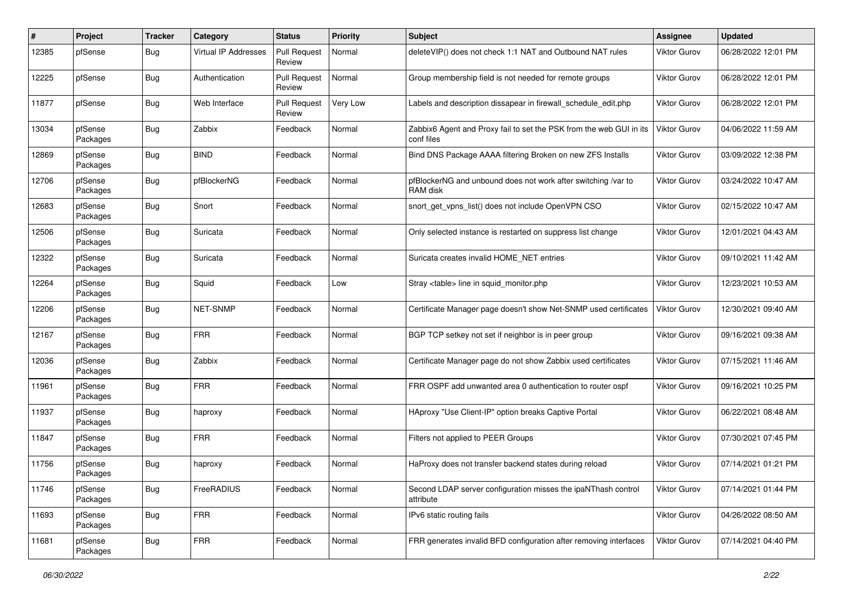| #     | Project             | <b>Tracker</b> | Category                    | <b>Status</b>                 | <b>Priority</b> | <b>Subject</b>                                                                    | Assignee            | <b>Updated</b>      |
|-------|---------------------|----------------|-----------------------------|-------------------------------|-----------------|-----------------------------------------------------------------------------------|---------------------|---------------------|
| 12385 | pfSense             | Bug            | <b>Virtual IP Addresses</b> | <b>Pull Request</b><br>Review | Normal          | deleteVIP() does not check 1:1 NAT and Outbound NAT rules                         | Viktor Gurov        | 06/28/2022 12:01 PM |
| 12225 | pfSense             | Bug            | Authentication              | <b>Pull Request</b><br>Review | Normal          | Group membership field is not needed for remote groups                            | <b>Viktor Gurov</b> | 06/28/2022 12:01 PM |
| 11877 | pfSense             | Bug            | Web Interface               | <b>Pull Request</b><br>Review | Very Low        | Labels and description dissapear in firewall schedule edit.php                    | Viktor Gurov        | 06/28/2022 12:01 PM |
| 13034 | pfSense<br>Packages | Bug            | Zabbix                      | Feedback                      | Normal          | Zabbix6 Agent and Proxy fail to set the PSK from the web GUI in its<br>conf files | Viktor Gurov        | 04/06/2022 11:59 AM |
| 12869 | pfSense<br>Packages | Bug            | <b>BIND</b>                 | Feedback                      | Normal          | Bind DNS Package AAAA filtering Broken on new ZFS Installs                        | <b>Viktor Gurov</b> | 03/09/2022 12:38 PM |
| 12706 | pfSense<br>Packages | <b>Bug</b>     | pfBlockerNG                 | Feedback                      | Normal          | pfBlockerNG and unbound does not work after switching /var to<br>RAM disk         | <b>Viktor Gurov</b> | 03/24/2022 10:47 AM |
| 12683 | pfSense<br>Packages | Bug            | Snort                       | Feedback                      | Normal          | snort get vpns list() does not include OpenVPN CSO                                | <b>Viktor Gurov</b> | 02/15/2022 10:47 AM |
| 12506 | pfSense<br>Packages | Bug            | Suricata                    | Feedback                      | Normal          | Only selected instance is restarted on suppress list change                       | <b>Viktor Gurov</b> | 12/01/2021 04:43 AM |
| 12322 | pfSense<br>Packages | <b>Bug</b>     | Suricata                    | Feedback                      | Normal          | Suricata creates invalid HOME NET entries                                         | <b>Viktor Gurov</b> | 09/10/2021 11:42 AM |
| 12264 | pfSense<br>Packages | <b>Bug</b>     | Squid                       | Feedback                      | Low             | Stray <table> line in squid monitor.php</table>                                   | Viktor Gurov        | 12/23/2021 10:53 AM |
| 12206 | pfSense<br>Packages | Bug            | NET-SNMP                    | Feedback                      | Normal          | Certificate Manager page doesn't show Net-SNMP used certificates                  | <b>Viktor Gurov</b> | 12/30/2021 09:40 AM |
| 12167 | pfSense<br>Packages | Bug            | <b>FRR</b>                  | Feedback                      | Normal          | BGP TCP setkey not set if neighbor is in peer group                               | Viktor Gurov        | 09/16/2021 09:38 AM |
| 12036 | pfSense<br>Packages | <b>Bug</b>     | Zabbix                      | Feedback                      | Normal          | Certificate Manager page do not show Zabbix used certificates                     | <b>Viktor Gurov</b> | 07/15/2021 11:46 AM |
| 11961 | pfSense<br>Packages | <b>Bug</b>     | <b>FRR</b>                  | Feedback                      | Normal          | FRR OSPF add unwanted area 0 authentication to router ospf                        | <b>Viktor Gurov</b> | 09/16/2021 10:25 PM |
| 11937 | pfSense<br>Packages | <b>Bug</b>     | haproxy                     | Feedback                      | Normal          | HAproxy "Use Client-IP" option breaks Captive Portal                              | <b>Viktor Gurov</b> | 06/22/2021 08:48 AM |
| 11847 | pfSense<br>Packages | Bug            | <b>FRR</b>                  | Feedback                      | Normal          | Filters not applied to PEER Groups                                                | <b>Viktor Gurov</b> | 07/30/2021 07:45 PM |
| 11756 | pfSense<br>Packages | <b>Bug</b>     | haproxy                     | Feedback                      | Normal          | HaProxy does not transfer backend states during reload                            | <b>Viktor Gurov</b> | 07/14/2021 01:21 PM |
| 11746 | pfSense<br>Packages | <b>Bug</b>     | FreeRADIUS                  | Feedback                      | Normal          | Second LDAP server configuration misses the ipaNThash control<br>attribute        | Viktor Gurov        | 07/14/2021 01:44 PM |
| 11693 | pfSense<br>Packages | <b>Bug</b>     | <b>FRR</b>                  | Feedback                      | Normal          | IPv6 static routing fails                                                         | Viktor Gurov        | 04/26/2022 08:50 AM |
| 11681 | pfSense<br>Packages | <b>Bug</b>     | <b>FRR</b>                  | Feedback                      | Normal          | FRR generates invalid BFD configuration after removing interfaces                 | Viktor Gurov        | 07/14/2021 04:40 PM |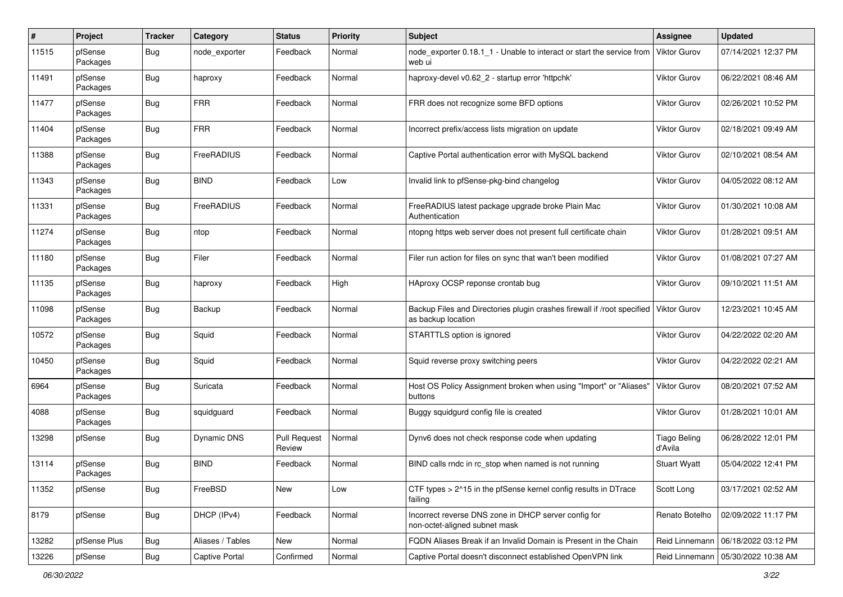| $\pmb{\#}$ | Project             | <b>Tracker</b> | Category         | <b>Status</b>                 | <b>Priority</b> | <b>Subject</b>                                                                                | <b>Assignee</b>         | <b>Updated</b>      |
|------------|---------------------|----------------|------------------|-------------------------------|-----------------|-----------------------------------------------------------------------------------------------|-------------------------|---------------------|
| 11515      | pfSense<br>Packages | Bug            | node exporter    | Feedback                      | Normal          | node exporter 0.18.1 1 - Unable to interact or start the service from<br>web ui               | <b>Viktor Gurov</b>     | 07/14/2021 12:37 PM |
| 11491      | pfSense<br>Packages | Bug            | haproxy          | Feedback                      | Normal          | haproxy-devel v0.62 2 - startup error 'httpchk'                                               | <b>Viktor Gurov</b>     | 06/22/2021 08:46 AM |
| 11477      | pfSense<br>Packages | <b>Bug</b>     | <b>FRR</b>       | Feedback                      | Normal          | FRR does not recognize some BFD options                                                       | Viktor Gurov            | 02/26/2021 10:52 PM |
| 11404      | pfSense<br>Packages | Bug            | <b>FRR</b>       | Feedback                      | Normal          | Incorrect prefix/access lists migration on update                                             | Viktor Gurov            | 02/18/2021 09:49 AM |
| 11388      | pfSense<br>Packages | Bug            | FreeRADIUS       | Feedback                      | Normal          | Captive Portal authentication error with MySQL backend                                        | Viktor Gurov            | 02/10/2021 08:54 AM |
| 11343      | pfSense<br>Packages | Bug            | <b>BIND</b>      | Feedback                      | Low             | Invalid link to pfSense-pkg-bind changelog                                                    | <b>Viktor Gurov</b>     | 04/05/2022 08:12 AM |
| 11331      | pfSense<br>Packages | <b>Bug</b>     | FreeRADIUS       | Feedback                      | Normal          | FreeRADIUS latest package upgrade broke Plain Mac<br>Authentication                           | Viktor Gurov            | 01/30/2021 10:08 AM |
| 11274      | pfSense<br>Packages | Bug            | ntop             | Feedback                      | Normal          | ntopng https web server does not present full certificate chain                               | <b>Viktor Gurov</b>     | 01/28/2021 09:51 AM |
| 11180      | pfSense<br>Packages | Bug            | Filer            | Feedback                      | Normal          | Filer run action for files on sync that wan't been modified                                   | Viktor Gurov            | 01/08/2021 07:27 AM |
| 11135      | pfSense<br>Packages | <b>Bug</b>     | haproxy          | Feedback                      | High            | HAproxy OCSP reponse crontab bug                                                              | Viktor Gurov            | 09/10/2021 11:51 AM |
| 11098      | pfSense<br>Packages | Bug            | Backup           | Feedback                      | Normal          | Backup Files and Directories plugin crashes firewall if /root specified<br>as backup location | <b>Viktor Gurov</b>     | 12/23/2021 10:45 AM |
| 10572      | pfSense<br>Packages | <b>Bug</b>     | Squid            | Feedback                      | Normal          | STARTTLS option is ignored                                                                    | <b>Viktor Gurov</b>     | 04/22/2022 02:20 AM |
| 10450      | pfSense<br>Packages | Bug            | Squid            | Feedback                      | Normal          | Squid reverse proxy switching peers                                                           | Viktor Gurov            | 04/22/2022 02:21 AM |
| 6964       | pfSense<br>Packages | <b>Bug</b>     | Suricata         | Feedback                      | Normal          | Host OS Policy Assignment broken when using "Import" or "Aliases"<br>buttons                  | <b>Viktor Gurov</b>     | 08/20/2021 07:52 AM |
| 4088       | pfSense<br>Packages | <b>Bug</b>     | squidguard       | Feedback                      | Normal          | Buggy squidgurd config file is created                                                        | <b>Viktor Gurov</b>     | 01/28/2021 10:01 AM |
| 13298      | pfSense             | Bug            | Dynamic DNS      | <b>Pull Request</b><br>Review | Normal          | Dynv6 does not check response code when updating                                              | Tiago Beling<br>d'Avila | 06/28/2022 12:01 PM |
| 13114      | pfSense<br>Packages | Bug            | <b>BIND</b>      | Feedback                      | Normal          | BIND calls rndc in rc_stop when named is not running                                          | <b>Stuart Wyatt</b>     | 05/04/2022 12:41 PM |
| 11352      | pfSense             | Bug            | FreeBSD          | New                           | Low             | CTF types > 2^15 in the pfSense kernel config results in DTrace<br>failing                    | Scott Long              | 03/17/2021 02:52 AM |
| 8179       | pfSense             | Bug            | DHCP (IPv4)      | Feedback                      | Normal          | Incorrect reverse DNS zone in DHCP server config for<br>non-octet-aligned subnet mask         | Renato Botelho          | 02/09/2022 11:17 PM |
| 13282      | pfSense Plus        | Bug            | Aliases / Tables | New                           | Normal          | FQDN Aliases Break if an Invalid Domain is Present in the Chain                               | Reid Linnemann          | 06/18/2022 03:12 PM |
| 13226      | pfSense             | Bug            | Captive Portal   | Confirmed                     | Normal          | Captive Portal doesn't disconnect established OpenVPN link                                    | Reid Linnemann          | 05/30/2022 10:38 AM |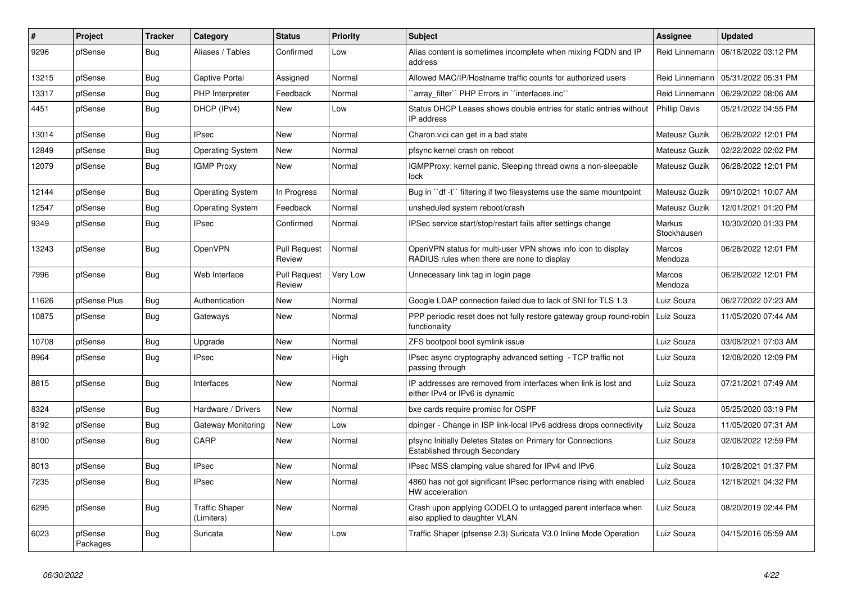| #     | <b>Project</b>      | <b>Tracker</b> | Category                            | <b>Status</b>                 | <b>Priority</b> | <b>Subject</b>                                                                                              | <b>Assignee</b>       | <b>Updated</b>      |
|-------|---------------------|----------------|-------------------------------------|-------------------------------|-----------------|-------------------------------------------------------------------------------------------------------------|-----------------------|---------------------|
| 9296  | pfSense             | <b>Bug</b>     | Aliases / Tables                    | Confirmed                     | Low             | Alias content is sometimes incomplete when mixing FQDN and IP<br>address                                    | Reid Linnemann        | 06/18/2022 03:12 PM |
| 13215 | pfSense             | <b>Bug</b>     | Captive Portal                      | Assigned                      | Normal          | Allowed MAC/IP/Hostname traffic counts for authorized users                                                 | Reid Linnemann        | 05/31/2022 05:31 PM |
| 13317 | pfSense             | <b>Bug</b>     | PHP Interpreter                     | Feedback                      | Normal          | array filter" PHP Errors in "interfaces.inc"                                                                | Reid Linnemann        | 06/29/2022 08:06 AM |
| 4451  | pfSense             | <b>Bug</b>     | DHCP (IPv4)                         | New                           | Low             | Status DHCP Leases shows double entries for static entries without<br>IP address                            | <b>Phillip Davis</b>  | 05/21/2022 04:55 PM |
| 13014 | pfSense             | Bug            | <b>IPsec</b>                        | <b>New</b>                    | Normal          | Charon.vici can get in a bad state                                                                          | Mateusz Guzik         | 06/28/2022 12:01 PM |
| 12849 | pfSense             | <b>Bug</b>     | <b>Operating System</b>             | New                           | Normal          | pfsync kernel crash on reboot                                                                               | Mateusz Guzik         | 02/22/2022 02:02 PM |
| 12079 | pfSense             | <b>Bug</b>     | <b>IGMP Proxy</b>                   | <b>New</b>                    | Normal          | IGMPProxy: kernel panic, Sleeping thread owns a non-sleepable<br>lock                                       | Mateusz Guzik         | 06/28/2022 12:01 PM |
| 12144 | pfSense             | <b>Bug</b>     | <b>Operating System</b>             | In Progress                   | Normal          | Bug in "df -t" filtering if two filesystems use the same mountpoint                                         | Mateusz Guzik         | 09/10/2021 10:07 AM |
| 12547 | pfSense             | Bug            | <b>Operating System</b>             | Feedback                      | Normal          | unsheduled system reboot/crash                                                                              | Mateusz Guzik         | 12/01/2021 01:20 PM |
| 9349  | pfSense             | <b>Bug</b>     | IPsec                               | Confirmed                     | Normal          | IPSec service start/stop/restart fails after settings change                                                | Markus<br>Stockhausen | 10/30/2020 01:33 PM |
| 13243 | pfSense             | Bug            | <b>OpenVPN</b>                      | <b>Pull Request</b><br>Review | Normal          | OpenVPN status for multi-user VPN shows info icon to display<br>RADIUS rules when there are none to display | Marcos<br>Mendoza     | 06/28/2022 12:01 PM |
| 7996  | pfSense             | <b>Bug</b>     | Web Interface                       | <b>Pull Request</b><br>Review | Very Low        | Unnecessary link tag in login page                                                                          | Marcos<br>Mendoza     | 06/28/2022 12:01 PM |
| 11626 | pfSense Plus        | Bug            | Authentication                      | <b>New</b>                    | Normal          | Google LDAP connection failed due to lack of SNI for TLS 1.3                                                | Luiz Souza            | 06/27/2022 07:23 AM |
| 10875 | pfSense             | Bug            | Gateways                            | <b>New</b>                    | Normal          | PPP periodic reset does not fully restore gateway group round-robin<br>functionality                        | Luiz Souza            | 11/05/2020 07:44 AM |
| 10708 | pfSense             | <b>Bug</b>     | Upgrade                             | New                           | Normal          | ZFS bootpool boot symlink issue                                                                             | Luiz Souza            | 03/08/2021 07:03 AM |
| 8964  | pfSense             | <b>Bug</b>     | <b>IPsec</b>                        | <b>New</b>                    | High            | IPsec async cryptography advanced setting - TCP traffic not<br>passing through                              | Luiz Souza            | 12/08/2020 12:09 PM |
| 8815  | pfSense             | Bug            | Interfaces                          | New                           | Normal          | IP addresses are removed from interfaces when link is lost and<br>either IPv4 or IPv6 is dynamic            | Luiz Souza            | 07/21/2021 07:49 AM |
| 8324  | pfSense             | <b>Bug</b>     | Hardware / Drivers                  | <b>New</b>                    | Normal          | bxe cards require promisc for OSPF                                                                          | Luiz Souza            | 05/25/2020 03:19 PM |
| 8192  | pfSense             | <b>Bug</b>     | Gateway Monitoring                  | <b>New</b>                    | Low             | dpinger - Change in ISP link-local IPv6 address drops connectivity                                          | Luiz Souza            | 11/05/2020 07:31 AM |
| 8100  | pfSense             | Bug            | CARP                                | New                           | Normal          | pfsync Initially Deletes States on Primary for Connections<br>Established through Secondary                 | Luiz Souza            | 02/08/2022 12:59 PM |
| 8013  | pfSense             | Bug            | <b>IPsec</b>                        | New                           | Normal          | IPsec MSS clamping value shared for IPv4 and IPv6                                                           | Luiz Souza            | 10/28/2021 01:37 PM |
| 7235  | pfSense             | <b>Bug</b>     | <b>IPsec</b>                        | <b>New</b>                    | Normal          | 4860 has not got significant IPsec performance rising with enabled<br>HW acceleration                       | Luiz Souza            | 12/18/2021 04:32 PM |
| 6295  | pfSense             | Bug            | <b>Traffic Shaper</b><br>(Limiters) | New                           | Normal          | Crash upon applying CODELQ to untagged parent interface when<br>also applied to daughter VLAN               | Luiz Souza            | 08/20/2019 02:44 PM |
| 6023  | pfSense<br>Packages | Bug            | Suricata                            | <b>New</b>                    | Low             | Traffic Shaper (pfsense 2.3) Suricata V3.0 Inline Mode Operation                                            | Luiz Souza            | 04/15/2016 05:59 AM |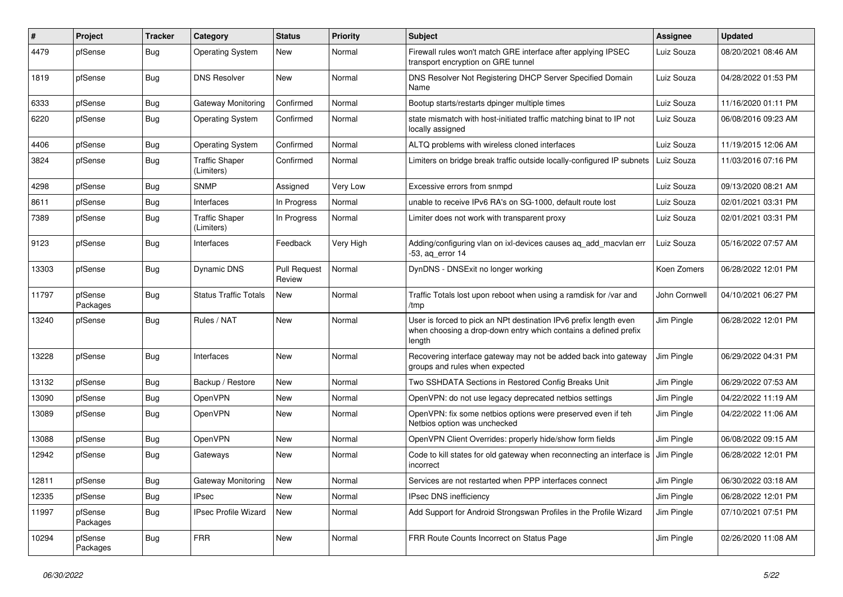| #     | Project             | <b>Tracker</b> | Category                            | <b>Status</b>                 | <b>Priority</b> | <b>Subject</b>                                                                                                                                 | <b>Assignee</b> | <b>Updated</b>      |
|-------|---------------------|----------------|-------------------------------------|-------------------------------|-----------------|------------------------------------------------------------------------------------------------------------------------------------------------|-----------------|---------------------|
| 4479  | pfSense             | Bug            | <b>Operating System</b>             | New                           | Normal          | Firewall rules won't match GRE interface after applying IPSEC<br>transport encryption on GRE tunnel                                            | Luiz Souza      | 08/20/2021 08:46 AM |
| 1819  | pfSense             | Bug            | <b>DNS Resolver</b>                 | New                           | Normal          | DNS Resolver Not Registering DHCP Server Specified Domain<br>Name                                                                              | Luiz Souza      | 04/28/2022 01:53 PM |
| 6333  | pfSense             | Bug            | Gateway Monitoring                  | Confirmed                     | Normal          | Bootup starts/restarts dpinger multiple times                                                                                                  | Luiz Souza      | 11/16/2020 01:11 PM |
| 6220  | pfSense             | Bug            | <b>Operating System</b>             | Confirmed                     | Normal          | state mismatch with host-initiated traffic matching binat to IP not<br>locally assigned                                                        | Luiz Souza      | 06/08/2016 09:23 AM |
| 4406  | pfSense             | Bug            | <b>Operating System</b>             | Confirmed                     | Normal          | ALTQ problems with wireless cloned interfaces                                                                                                  | Luiz Souza      | 11/19/2015 12:06 AM |
| 3824  | pfSense             | <b>Bug</b>     | <b>Traffic Shaper</b><br>(Limiters) | Confirmed                     | Normal          | Limiters on bridge break traffic outside locally-configured IP subnets                                                                         | Luiz Souza      | 11/03/2016 07:16 PM |
| 4298  | pfSense             | Bug            | <b>SNMP</b>                         | Assigned                      | Very Low        | Excessive errors from snmpd                                                                                                                    | Luiz Souza      | 09/13/2020 08:21 AM |
| 8611  | pfSense             | <b>Bug</b>     | Interfaces                          | In Progress                   | Normal          | unable to receive IPv6 RA's on SG-1000, default route lost                                                                                     | Luiz Souza      | 02/01/2021 03:31 PM |
| 7389  | pfSense             | <b>Bug</b>     | <b>Traffic Shaper</b><br>(Limiters) | In Progress                   | Normal          | Limiter does not work with transparent proxy                                                                                                   | Luiz Souza      | 02/01/2021 03:31 PM |
| 9123  | pfSense             | Bug            | Interfaces                          | Feedback                      | Very High       | Adding/configuring vlan on ixl-devices causes aq_add_macvlan err<br>-53, aq_error 14                                                           | Luiz Souza      | 05/16/2022 07:57 AM |
| 13303 | pfSense             | Bug            | Dynamic DNS                         | <b>Pull Request</b><br>Review | Normal          | DynDNS - DNSExit no longer working                                                                                                             | Koen Zomers     | 06/28/2022 12:01 PM |
| 11797 | pfSense<br>Packages | <b>Bug</b>     | <b>Status Traffic Totals</b>        | New                           | Normal          | Traffic Totals lost upon reboot when using a ramdisk for /var and<br>/tmp                                                                      | John Cornwell   | 04/10/2021 06:27 PM |
| 13240 | pfSense             | <b>Bug</b>     | Rules / NAT                         | <b>New</b>                    | Normal          | User is forced to pick an NPt destination IPv6 prefix length even<br>when choosing a drop-down entry which contains a defined prefix<br>length | Jim Pingle      | 06/28/2022 12:01 PM |
| 13228 | pfSense             | Bug            | Interfaces                          | New                           | Normal          | Recovering interface gateway may not be added back into gateway<br>groups and rules when expected                                              | Jim Pingle      | 06/29/2022 04:31 PM |
| 13132 | pfSense             | Bug            | Backup / Restore                    | New                           | Normal          | Two SSHDATA Sections in Restored Config Breaks Unit                                                                                            | Jim Pingle      | 06/29/2022 07:53 AM |
| 13090 | pfSense             | <b>Bug</b>     | OpenVPN                             | New                           | Normal          | OpenVPN: do not use legacy deprecated netbios settings                                                                                         | Jim Pingle      | 04/22/2022 11:19 AM |
| 13089 | pfSense             | Bug            | OpenVPN                             | New                           | Normal          | OpenVPN: fix some netbios options were preserved even if teh<br>Netbios option was unchecked                                                   | Jim Pingle      | 04/22/2022 11:06 AM |
| 13088 | pfSense             | Bug            | OpenVPN                             | New                           | Normal          | OpenVPN Client Overrides: properly hide/show form fields                                                                                       | Jim Pingle      | 06/08/2022 09:15 AM |
| 12942 | pfSense             | Bug            | Gateways                            | New                           | Normal          | Code to kill states for old gateway when reconnecting an interface is<br>incorrect                                                             | Jim Pingle      | 06/28/2022 12:01 PM |
| 12811 | pfSense             | <b>Bug</b>     | <b>Gateway Monitoring</b>           | New                           | Normal          | Services are not restarted when PPP interfaces connect                                                                                         | Jim Pingle      | 06/30/2022 03:18 AM |
| 12335 | pfSense             | <b>Bug</b>     | <b>IPsec</b>                        | New                           | Normal          | IPsec DNS inefficiency                                                                                                                         | Jim Pingle      | 06/28/2022 12:01 PM |
| 11997 | pfSense<br>Packages | <b>Bug</b>     | <b>IPsec Profile Wizard</b>         | New                           | Normal          | Add Support for Android Strongswan Profiles in the Profile Wizard                                                                              | Jim Pingle      | 07/10/2021 07:51 PM |
| 10294 | pfSense<br>Packages | <b>Bug</b>     | <b>FRR</b>                          | New                           | Normal          | FRR Route Counts Incorrect on Status Page                                                                                                      | Jim Pingle      | 02/26/2020 11:08 AM |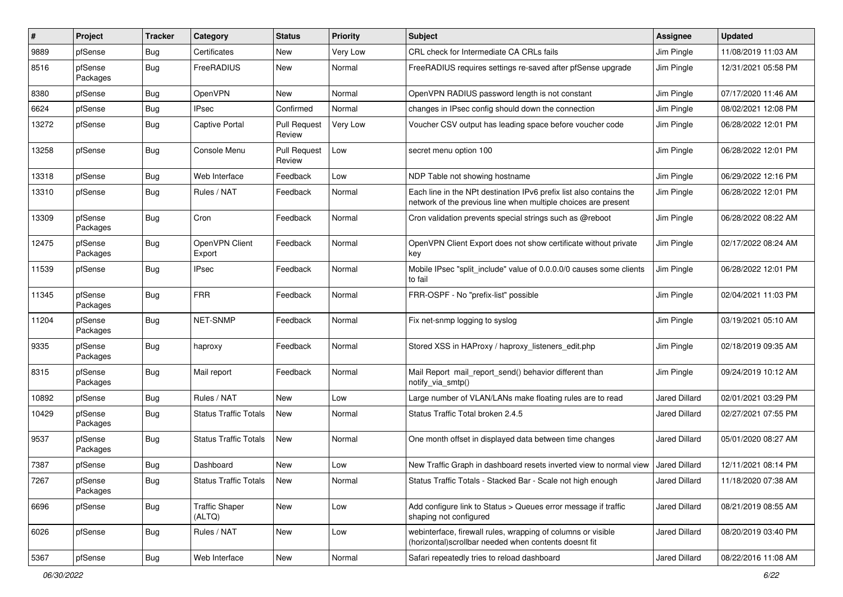| $\sharp$ | Project             | <b>Tracker</b> | Category                        | <b>Status</b>                 | <b>Priority</b> | <b>Subject</b>                                                                                                                        | <b>Assignee</b>      | <b>Updated</b>      |
|----------|---------------------|----------------|---------------------------------|-------------------------------|-----------------|---------------------------------------------------------------------------------------------------------------------------------------|----------------------|---------------------|
| 9889     | pfSense             | <b>Bug</b>     | Certificates                    | New                           | Very Low        | CRL check for Intermediate CA CRLs fails                                                                                              | Jim Pingle           | 11/08/2019 11:03 AM |
| 8516     | pfSense<br>Packages | Bug            | FreeRADIUS                      | New                           | Normal          | FreeRADIUS requires settings re-saved after pfSense upgrade                                                                           | Jim Pingle           | 12/31/2021 05:58 PM |
| 8380     | pfSense             | Bug            | OpenVPN                         | New                           | Normal          | OpenVPN RADIUS password length is not constant                                                                                        | Jim Pingle           | 07/17/2020 11:46 AM |
| 6624     | pfSense             | Bug            | <b>IPsec</b>                    | Confirmed                     | Normal          | changes in IPsec config should down the connection                                                                                    | Jim Pingle           | 08/02/2021 12:08 PM |
| 13272    | pfSense             | Bug            | <b>Captive Portal</b>           | <b>Pull Request</b><br>Review | Very Low        | Voucher CSV output has leading space before voucher code                                                                              | Jim Pingle           | 06/28/2022 12:01 PM |
| 13258    | pfSense             | Bug            | Console Menu                    | <b>Pull Request</b><br>Review | Low             | secret menu option 100                                                                                                                | Jim Pingle           | 06/28/2022 12:01 PM |
| 13318    | pfSense             | <b>Bug</b>     | Web Interface                   | Feedback                      | Low             | NDP Table not showing hostname                                                                                                        | Jim Pingle           | 06/29/2022 12:16 PM |
| 13310    | pfSense             | <b>Bug</b>     | Rules / NAT                     | Feedback                      | Normal          | Each line in the NPt destination IPv6 prefix list also contains the<br>network of the previous line when multiple choices are present | Jim Pingle           | 06/28/2022 12:01 PM |
| 13309    | pfSense<br>Packages | Bug            | Cron                            | Feedback                      | Normal          | Cron validation prevents special strings such as @reboot                                                                              | Jim Pingle           | 06/28/2022 08:22 AM |
| 12475    | pfSense<br>Packages | <b>Bug</b>     | OpenVPN Client<br>Export        | Feedback                      | Normal          | OpenVPN Client Export does not show certificate without private<br>key                                                                | Jim Pingle           | 02/17/2022 08:24 AM |
| 11539    | pfSense             | Bug            | <b>IPsec</b>                    | Feedback                      | Normal          | Mobile IPsec "split include" value of 0.0.0.0/0 causes some clients<br>to fail                                                        | Jim Pingle           | 06/28/2022 12:01 PM |
| 11345    | pfSense<br>Packages | <b>Bug</b>     | <b>FRR</b>                      | Feedback                      | Normal          | FRR-OSPF - No "prefix-list" possible                                                                                                  | Jim Pingle           | 02/04/2021 11:03 PM |
| 11204    | pfSense<br>Packages | Bug            | NET-SNMP                        | Feedback                      | Normal          | Fix net-snmp logging to syslog                                                                                                        | Jim Pingle           | 03/19/2021 05:10 AM |
| 9335     | pfSense<br>Packages | Bug            | haproxy                         | Feedback                      | Normal          | Stored XSS in HAProxy / haproxy_listeners_edit.php                                                                                    | Jim Pingle           | 02/18/2019 09:35 AM |
| 8315     | pfSense<br>Packages | Bug            | Mail report                     | Feedback                      | Normal          | Mail Report mail report send() behavior different than<br>notify_via_smtp()                                                           | Jim Pingle           | 09/24/2019 10:12 AM |
| 10892    | pfSense             | Bug            | Rules / NAT                     | New                           | Low             | Large number of VLAN/LANs make floating rules are to read                                                                             | <b>Jared Dillard</b> | 02/01/2021 03:29 PM |
| 10429    | pfSense<br>Packages | <b>Bug</b>     | <b>Status Traffic Totals</b>    | New                           | Normal          | Status Traffic Total broken 2.4.5                                                                                                     | Jared Dillard        | 02/27/2021 07:55 PM |
| 9537     | pfSense<br>Packages | <b>Bug</b>     | <b>Status Traffic Totals</b>    | New                           | Normal          | One month offset in displayed data between time changes                                                                               | Jared Dillard        | 05/01/2020 08:27 AM |
| 7387     | pfSense             | <b>Bug</b>     | Dashboard                       | New                           | Low             | New Traffic Graph in dashboard resets inverted view to normal view                                                                    | <b>Jared Dillard</b> | 12/11/2021 08:14 PM |
| 7267     | pfSense<br>Packages | Bug            | <b>Status Traffic Totals</b>    | New                           | Normal          | Status Traffic Totals - Stacked Bar - Scale not high enough                                                                           | Jared Dillard        | 11/18/2020 07:38 AM |
| 6696     | pfSense             | Bug            | <b>Traffic Shaper</b><br>(ALTQ) | New                           | Low             | Add configure link to Status > Queues error message if traffic<br>shaping not configured                                              | Jared Dillard        | 08/21/2019 08:55 AM |
| 6026     | pfSense             | Bug            | Rules / NAT                     | New                           | Low             | webinterface, firewall rules, wrapping of columns or visible<br>(horizontal)scrollbar needed when contents doesnt fit                 | Jared Dillard        | 08/20/2019 03:40 PM |
| 5367     | pfSense             | Bug            | Web Interface                   | New                           | Normal          | Safari repeatedly tries to reload dashboard                                                                                           | Jared Dillard        | 08/22/2016 11:08 AM |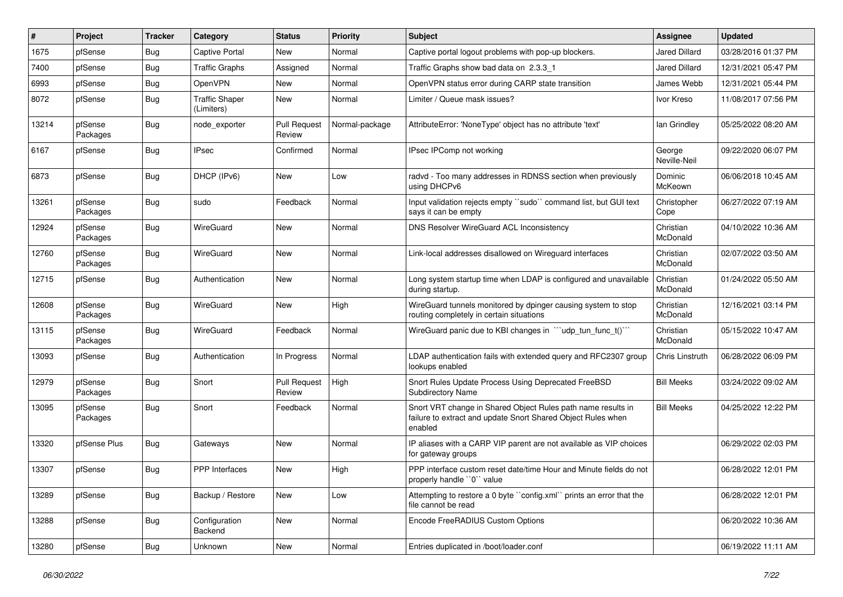| $\vert$ # | Project             | <b>Tracker</b> | Category                            | <b>Status</b>                 | <b>Priority</b> | Subject                                                                                                                                 | <b>Assignee</b>        | <b>Updated</b>      |
|-----------|---------------------|----------------|-------------------------------------|-------------------------------|-----------------|-----------------------------------------------------------------------------------------------------------------------------------------|------------------------|---------------------|
| 1675      | pfSense             | <b>Bug</b>     | Captive Portal                      | New                           | Normal          | Captive portal logout problems with pop-up blockers.                                                                                    | Jared Dillard          | 03/28/2016 01:37 PM |
| 7400      | pfSense             | Bug            | <b>Traffic Graphs</b>               | Assigned                      | Normal          | Traffic Graphs show bad data on 2.3.3 1                                                                                                 | Jared Dillard          | 12/31/2021 05:47 PM |
| 6993      | pfSense             | Bug            | OpenVPN                             | New                           | Normal          | OpenVPN status error during CARP state transition                                                                                       | James Webb             | 12/31/2021 05:44 PM |
| 8072      | pfSense             | <b>Bug</b>     | <b>Traffic Shaper</b><br>(Limiters) | New                           | Normal          | Limiter / Queue mask issues?                                                                                                            | Ivor Kreso             | 11/08/2017 07:56 PM |
| 13214     | pfSense<br>Packages | Bug            | node_exporter                       | <b>Pull Request</b><br>Review | Normal-package  | AttributeError: 'NoneType' object has no attribute 'text'                                                                               | lan Grindley           | 05/25/2022 08:20 AM |
| 6167      | pfSense             | Bug            | <b>IPsec</b>                        | Confirmed                     | Normal          | IPsec IPComp not working                                                                                                                | George<br>Neville-Neil | 09/22/2020 06:07 PM |
| 6873      | pfSense             | Bug            | DHCP (IPv6)                         | New                           | Low             | radvd - Too many addresses in RDNSS section when previously<br>using DHCPv6                                                             | Dominic<br>McKeown     | 06/06/2018 10:45 AM |
| 13261     | pfSense<br>Packages | Bug            | sudo                                | Feedback                      | Normal          | Input validation rejects empty "sudo" command list, but GUI text<br>says it can be empty                                                | Christopher<br>Cope    | 06/27/2022 07:19 AM |
| 12924     | pfSense<br>Packages | Bug            | WireGuard                           | New                           | Normal          | DNS Resolver WireGuard ACL Inconsistency                                                                                                | Christian<br>McDonald  | 04/10/2022 10:36 AM |
| 12760     | pfSense<br>Packages | Bug            | WireGuard                           | <b>New</b>                    | Normal          | Link-local addresses disallowed on Wireguard interfaces                                                                                 | Christian<br>McDonald  | 02/07/2022 03:50 AM |
| 12715     | pfSense             | Bug            | Authentication                      | New                           | Normal          | Long system startup time when LDAP is configured and unavailable<br>during startup.                                                     | Christian<br>McDonald  | 01/24/2022 05:50 AM |
| 12608     | pfSense<br>Packages | Bug            | WireGuard                           | New                           | High            | WireGuard tunnels monitored by dpinger causing system to stop<br>routing completely in certain situations                               | Christian<br>McDonald  | 12/16/2021 03:14 PM |
| 13115     | pfSense<br>Packages | Bug            | WireGuard                           | Feedback                      | Normal          | WireGuard panic due to KBI changes in "'udp_tun_func_t()'"                                                                              | Christian<br>McDonald  | 05/15/2022 10:47 AM |
| 13093     | pfSense             | Bug            | Authentication                      | In Progress                   | Normal          | LDAP authentication fails with extended query and RFC2307 group<br>lookups enabled                                                      | Chris Linstruth        | 06/28/2022 06:09 PM |
| 12979     | pfSense<br>Packages | Bug            | Snort                               | <b>Pull Request</b><br>Review | High            | Snort Rules Update Process Using Deprecated FreeBSD<br><b>Subdirectory Name</b>                                                         | <b>Bill Meeks</b>      | 03/24/2022 09:02 AM |
| 13095     | pfSense<br>Packages | Bug            | Snort                               | Feedback                      | Normal          | Snort VRT change in Shared Object Rules path name results in<br>failure to extract and update Snort Shared Object Rules when<br>enabled | <b>Bill Meeks</b>      | 04/25/2022 12:22 PM |
| 13320     | pfSense Plus        | Bug            | Gateways                            | New                           | Normal          | IP aliases with a CARP VIP parent are not available as VIP choices<br>for gateway groups                                                |                        | 06/29/2022 02:03 PM |
| 13307     | pfSense             | Bug            | PPP Interfaces                      | <b>New</b>                    | High            | PPP interface custom reset date/time Hour and Minute fields do not<br>properly handle "0" value                                         |                        | 06/28/2022 12:01 PM |
| 13289     | pfSense             | <b>Bug</b>     | Backup / Restore                    | <b>New</b>                    | Low             | Attempting to restore a 0 byte "config.xml" prints an error that the<br>file cannot be read                                             |                        | 06/28/2022 12:01 PM |
| 13288     | pfSense             | <b>Bug</b>     | Configuration<br>Backend            | New                           | Normal          | Encode FreeRADIUS Custom Options                                                                                                        |                        | 06/20/2022 10:36 AM |
| 13280     | pfSense             | <b>Bug</b>     | Unknown                             | New                           | Normal          | Entries duplicated in /boot/loader.conf                                                                                                 |                        | 06/19/2022 11:11 AM |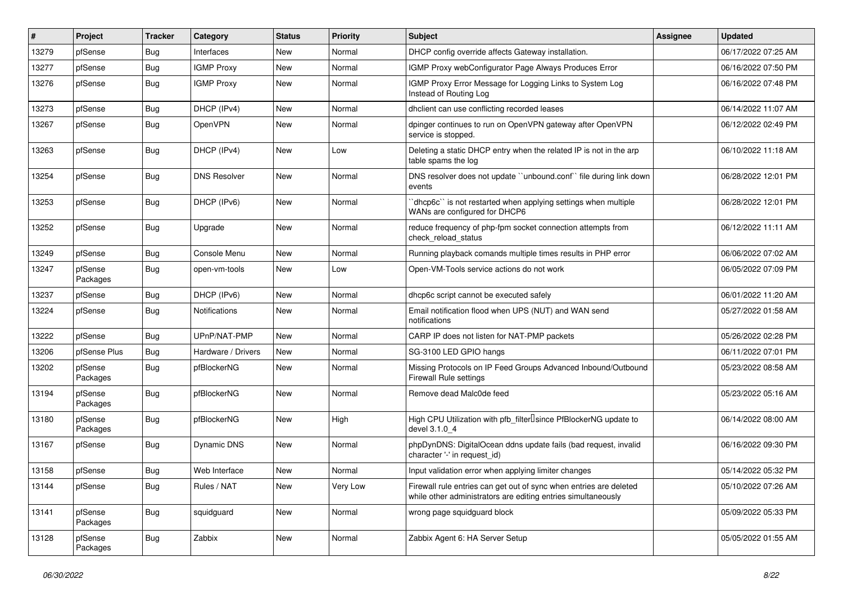| $\vert$ # | Project             | <b>Tracker</b> | Category            | <b>Status</b> | <b>Priority</b> | <b>Subject</b>                                                                                                                      | <b>Assignee</b> | <b>Updated</b>      |
|-----------|---------------------|----------------|---------------------|---------------|-----------------|-------------------------------------------------------------------------------------------------------------------------------------|-----------------|---------------------|
| 13279     | pfSense             | Bug            | Interfaces          | New           | Normal          | DHCP config override affects Gateway installation.                                                                                  |                 | 06/17/2022 07:25 AM |
| 13277     | pfSense             | Bug            | <b>IGMP Proxy</b>   | New           | Normal          | IGMP Proxy webConfigurator Page Always Produces Error                                                                               |                 | 06/16/2022 07:50 PM |
| 13276     | pfSense             | <b>Bug</b>     | <b>IGMP Proxy</b>   | New           | Normal          | IGMP Proxy Error Message for Logging Links to System Log<br>Instead of Routing Log                                                  |                 | 06/16/2022 07:48 PM |
| 13273     | pfSense             | Bug            | DHCP (IPv4)         | New           | Normal          | dhclient can use conflicting recorded leases                                                                                        |                 | 06/14/2022 11:07 AM |
| 13267     | pfSense             | <b>Bug</b>     | OpenVPN             | New           | Normal          | dpinger continues to run on OpenVPN gateway after OpenVPN<br>service is stopped.                                                    |                 | 06/12/2022 02:49 PM |
| 13263     | pfSense             | <b>Bug</b>     | DHCP (IPv4)         | New           | Low             | Deleting a static DHCP entry when the related IP is not in the arp<br>table spams the log                                           |                 | 06/10/2022 11:18 AM |
| 13254     | pfSense             | Bug            | <b>DNS Resolver</b> | New           | Normal          | DNS resolver does not update "unbound.conf" file during link down<br>events                                                         |                 | 06/28/2022 12:01 PM |
| 13253     | pfSense             | Bug            | DHCP (IPv6)         | New           | Normal          | 'dhcp6c'' is not restarted when applying settings when multiple<br>WANs are configured for DHCP6                                    |                 | 06/28/2022 12:01 PM |
| 13252     | pfSense             | <b>Bug</b>     | Upgrade             | New           | Normal          | reduce frequency of php-fpm socket connection attempts from<br>check_reload_status                                                  |                 | 06/12/2022 11:11 AM |
| 13249     | pfSense             | <b>Bug</b>     | Console Menu        | New           | Normal          | Running playback comands multiple times results in PHP error                                                                        |                 | 06/06/2022 07:02 AM |
| 13247     | pfSense<br>Packages | <b>Bug</b>     | open-vm-tools       | New           | Low             | Open-VM-Tools service actions do not work                                                                                           |                 | 06/05/2022 07:09 PM |
| 13237     | pfSense             | <b>Bug</b>     | DHCP (IPv6)         | New           | Normal          | dhcp6c script cannot be executed safely                                                                                             |                 | 06/01/2022 11:20 AM |
| 13224     | pfSense             | Bug            | Notifications       | New           | Normal          | Email notification flood when UPS (NUT) and WAN send<br>notifications                                                               |                 | 05/27/2022 01:58 AM |
| 13222     | pfSense             | <b>Bug</b>     | UPnP/NAT-PMP        | <b>New</b>    | Normal          | CARP IP does not listen for NAT-PMP packets                                                                                         |                 | 05/26/2022 02:28 PM |
| 13206     | pfSense Plus        | Bug            | Hardware / Drivers  | New           | Normal          | SG-3100 LED GPIO hangs                                                                                                              |                 | 06/11/2022 07:01 PM |
| 13202     | pfSense<br>Packages | Bug            | pfBlockerNG         | New           | Normal          | Missing Protocols on IP Feed Groups Advanced Inbound/Outbound<br><b>Firewall Rule settings</b>                                      |                 | 05/23/2022 08:58 AM |
| 13194     | pfSense<br>Packages | <b>Bug</b>     | pfBlockerNG         | New           | Normal          | Remove dead Malc0de feed                                                                                                            |                 | 05/23/2022 05:16 AM |
| 13180     | pfSense<br>Packages | Bug            | pfBlockerNG         | New           | High            | High CPU Utilization with pfb_filter <sup>[]</sup> since PfBlockerNG update to<br>devel 3.1.0 4                                     |                 | 06/14/2022 08:00 AM |
| 13167     | pfSense             | <b>Bug</b>     | Dynamic DNS         | New           | Normal          | phpDynDNS: DigitalOcean ddns update fails (bad request, invalid<br>character '-' in request id)                                     |                 | 06/16/2022 09:30 PM |
| 13158     | pfSense             | Bug            | Web Interface       | New           | Normal          | Input validation error when applying limiter changes                                                                                |                 | 05/14/2022 05:32 PM |
| 13144     | pfSense             | <b>Bug</b>     | Rules / NAT         | New           | Very Low        | Firewall rule entries can get out of sync when entries are deleted<br>while other administrators are editing entries simultaneously |                 | 05/10/2022 07:26 AM |
| 13141     | pfSense<br>Packages | <b>Bug</b>     | squidguard          | New           | Normal          | wrong page squidquard block                                                                                                         |                 | 05/09/2022 05:33 PM |
| 13128     | pfSense<br>Packages | <b>Bug</b>     | Zabbix              | New           | Normal          | Zabbix Agent 6: HA Server Setup                                                                                                     |                 | 05/05/2022 01:55 AM |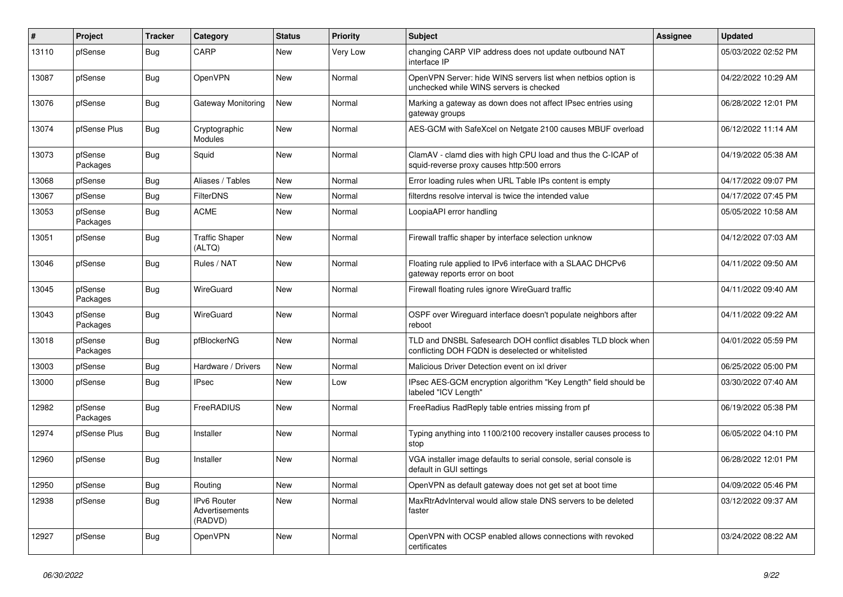| $\pmb{\#}$ | Project             | <b>Tracker</b> | Category                                 | <b>Status</b> | <b>Priority</b> | <b>Subject</b>                                                                                                     | <b>Assignee</b> | <b>Updated</b>      |
|------------|---------------------|----------------|------------------------------------------|---------------|-----------------|--------------------------------------------------------------------------------------------------------------------|-----------------|---------------------|
| 13110      | pfSense             | Bug            | CARP                                     | New           | Very Low        | changing CARP VIP address does not update outbound NAT<br>interface IP                                             |                 | 05/03/2022 02:52 PM |
| 13087      | pfSense             | Bug            | OpenVPN                                  | New           | Normal          | OpenVPN Server: hide WINS servers list when netbios option is<br>unchecked while WINS servers is checked           |                 | 04/22/2022 10:29 AM |
| 13076      | pfSense             | Bug            | Gateway Monitoring                       | New           | Normal          | Marking a gateway as down does not affect IPsec entries using<br>gateway groups                                    |                 | 06/28/2022 12:01 PM |
| 13074      | pfSense Plus        | Bug            | Cryptographic<br><b>Modules</b>          | New           | Normal          | AES-GCM with SafeXcel on Netgate 2100 causes MBUF overload                                                         |                 | 06/12/2022 11:14 AM |
| 13073      | pfSense<br>Packages | Bug            | Squid                                    | New           | Normal          | ClamAV - clamd dies with high CPU load and thus the C-ICAP of<br>squid-reverse proxy causes http:500 errors        |                 | 04/19/2022 05:38 AM |
| 13068      | pfSense             | Bug            | Aliases / Tables                         | New           | Normal          | Error loading rules when URL Table IPs content is empty                                                            |                 | 04/17/2022 09:07 PM |
| 13067      | pfSense             | Bug            | FilterDNS                                | New           | Normal          | filterdns resolve interval is twice the intended value                                                             |                 | 04/17/2022 07:45 PM |
| 13053      | pfSense<br>Packages | Bug            | <b>ACME</b>                              | New           | Normal          | LoopiaAPI error handling                                                                                           |                 | 05/05/2022 10:58 AM |
| 13051      | pfSense             | Bug            | <b>Traffic Shaper</b><br>(ALTQ)          | New           | Normal          | Firewall traffic shaper by interface selection unknow                                                              |                 | 04/12/2022 07:03 AM |
| 13046      | pfSense             | <b>Bug</b>     | Rules / NAT                              | <b>New</b>    | Normal          | Floating rule applied to IPv6 interface with a SLAAC DHCPv6<br>gateway reports error on boot                       |                 | 04/11/2022 09:50 AM |
| 13045      | pfSense<br>Packages | <b>Bug</b>     | WireGuard                                | <b>New</b>    | Normal          | Firewall floating rules ignore WireGuard traffic                                                                   |                 | 04/11/2022 09:40 AM |
| 13043      | pfSense<br>Packages | <b>Bug</b>     | WireGuard                                | New           | Normal          | OSPF over Wireguard interface doesn't populate neighbors after<br>reboot                                           |                 | 04/11/2022 09:22 AM |
| 13018      | pfSense<br>Packages | <b>Bug</b>     | pfBlockerNG                              | <b>New</b>    | Normal          | TLD and DNSBL Safesearch DOH conflict disables TLD block when<br>conflicting DOH FQDN is deselected or whitelisted |                 | 04/01/2022 05:59 PM |
| 13003      | pfSense             | Bug            | Hardware / Drivers                       | New           | Normal          | Malicious Driver Detection event on ixl driver                                                                     |                 | 06/25/2022 05:00 PM |
| 13000      | pfSense             | Bug            | <b>IPsec</b>                             | New           | Low             | IPsec AES-GCM encryption algorithm "Key Length" field should be<br>labeled "ICV Length"                            |                 | 03/30/2022 07:40 AM |
| 12982      | pfSense<br>Packages | <b>Bug</b>     | FreeRADIUS                               | New           | Normal          | FreeRadius RadReply table entries missing from pf                                                                  |                 | 06/19/2022 05:38 PM |
| 12974      | pfSense Plus        | <b>Bug</b>     | Installer                                | New           | Normal          | Typing anything into 1100/2100 recovery installer causes process to<br>stop                                        |                 | 06/05/2022 04:10 PM |
| 12960      | pfSense             | Bug            | Installer                                | <b>New</b>    | Normal          | VGA installer image defaults to serial console, serial console is<br>default in GUI settings                       |                 | 06/28/2022 12:01 PM |
| 12950      | pfSense             | <b>Bug</b>     | Routing                                  | New           | Normal          | OpenVPN as default gateway does not get set at boot time                                                           |                 | 04/09/2022 05:46 PM |
| 12938      | pfSense             | <b>Bug</b>     | IPv6 Router<br>Advertisements<br>(RADVD) | New           | Normal          | MaxRtrAdvInterval would allow stale DNS servers to be deleted<br>faster                                            |                 | 03/12/2022 09:37 AM |
| 12927      | pfSense             | Bug            | OpenVPN                                  | New           | Normal          | OpenVPN with OCSP enabled allows connections with revoked<br>certificates                                          |                 | 03/24/2022 08:22 AM |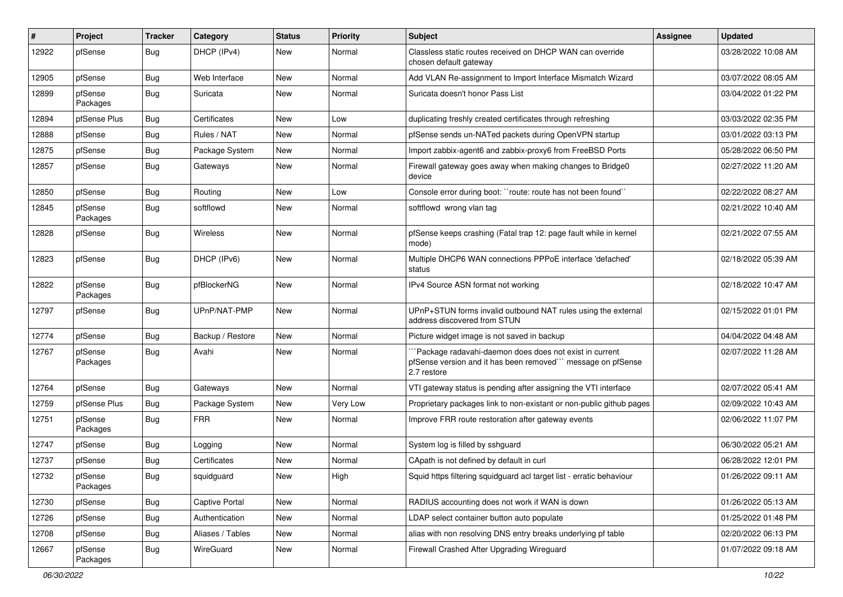| #     | Project             | <b>Tracker</b> | Category         | <b>Status</b> | <b>Priority</b> | Subject                                                                                                                               | <b>Assignee</b> | <b>Updated</b>      |
|-------|---------------------|----------------|------------------|---------------|-----------------|---------------------------------------------------------------------------------------------------------------------------------------|-----------------|---------------------|
| 12922 | pfSense             | Bug            | DHCP (IPv4)      | New           | Normal          | Classless static routes received on DHCP WAN can override<br>chosen default gateway                                                   |                 | 03/28/2022 10:08 AM |
| 12905 | pfSense             | Bug            | Web Interface    | New           | Normal          | Add VLAN Re-assignment to Import Interface Mismatch Wizard                                                                            |                 | 03/07/2022 08:05 AM |
| 12899 | pfSense<br>Packages | Bug            | Suricata         | New           | Normal          | Suricata doesn't honor Pass List                                                                                                      |                 | 03/04/2022 01:22 PM |
| 12894 | pfSense Plus        | Bug            | Certificates     | New           | Low             | duplicating freshly created certificates through refreshing                                                                           |                 | 03/03/2022 02:35 PM |
| 12888 | pfSense             | Bug            | Rules / NAT      | New           | Normal          | pfSense sends un-NATed packets during OpenVPN startup                                                                                 |                 | 03/01/2022 03:13 PM |
| 12875 | pfSense             | Bug            | Package System   | New           | Normal          | Import zabbix-agent6 and zabbix-proxy6 from FreeBSD Ports                                                                             |                 | 05/28/2022 06:50 PM |
| 12857 | pfSense             | Bug            | Gateways         | New           | Normal          | Firewall gateway goes away when making changes to Bridge0<br>device                                                                   |                 | 02/27/2022 11:20 AM |
| 12850 | pfSense             | Bug            | Routing          | New           | Low             | Console error during boot: "route: route has not been found"                                                                          |                 | 02/22/2022 08:27 AM |
| 12845 | pfSense<br>Packages | Bug            | softflowd        | New           | Normal          | softflowd wrong vlan tag                                                                                                              |                 | 02/21/2022 10:40 AM |
| 12828 | pfSense             | Bug            | Wireless         | New           | Normal          | pfSense keeps crashing (Fatal trap 12: page fault while in kernel<br>mode)                                                            |                 | 02/21/2022 07:55 AM |
| 12823 | pfSense             | Bug            | DHCP (IPv6)      | <b>New</b>    | Normal          | Multiple DHCP6 WAN connections PPPoE interface 'defached'<br>status                                                                   |                 | 02/18/2022 05:39 AM |
| 12822 | pfSense<br>Packages | Bug            | pfBlockerNG      | New           | Normal          | IPv4 Source ASN format not working                                                                                                    |                 | 02/18/2022 10:47 AM |
| 12797 | pfSense             | Bug            | UPnP/NAT-PMP     | New           | Normal          | UPnP+STUN forms invalid outbound NAT rules using the external<br>address discovered from STUN                                         |                 | 02/15/2022 01:01 PM |
| 12774 | pfSense             | Bug            | Backup / Restore | New           | Normal          | Picture widget image is not saved in backup                                                                                           |                 | 04/04/2022 04:48 AM |
| 12767 | pfSense<br>Packages | Bug            | Avahi            | New           | Normal          | Package radavahi-daemon does does not exist in current<br>pfSense version and it has been removed"" message on pfSense<br>2.7 restore |                 | 02/07/2022 11:28 AM |
| 12764 | pfSense             | Bug            | Gateways         | New           | Normal          | VTI gateway status is pending after assigning the VTI interface                                                                       |                 | 02/07/2022 05:41 AM |
| 12759 | pfSense Plus        | Bug            | Package System   | <b>New</b>    | Very Low        | Proprietary packages link to non-existant or non-public github pages                                                                  |                 | 02/09/2022 10:43 AM |
| 12751 | pfSense<br>Packages | Bug            | <b>FRR</b>       | New           | Normal          | Improve FRR route restoration after gateway events                                                                                    |                 | 02/06/2022 11:07 PM |
| 12747 | pfSense             | Bug            | Logging          | <b>New</b>    | Normal          | System log is filled by sshguard                                                                                                      |                 | 06/30/2022 05:21 AM |
| 12737 | pfSense             | <b>Bug</b>     | Certificates     | New           | Normal          | CApath is not defined by default in curl                                                                                              |                 | 06/28/2022 12:01 PM |
| 12732 | pfSense<br>Packages | <b>Bug</b>     | squidguard       | New           | High            | Squid https filtering squidguard acl target list - erratic behaviour                                                                  |                 | 01/26/2022 09:11 AM |
| 12730 | pfSense             | <b>Bug</b>     | Captive Portal   | New           | Normal          | RADIUS accounting does not work if WAN is down                                                                                        |                 | 01/26/2022 05:13 AM |
| 12726 | pfSense             | <b>Bug</b>     | Authentication   | New           | Normal          | LDAP select container button auto populate                                                                                            |                 | 01/25/2022 01:48 PM |
| 12708 | pfSense             | <b>Bug</b>     | Aliases / Tables | New           | Normal          | alias with non resolving DNS entry breaks underlying pf table                                                                         |                 | 02/20/2022 06:13 PM |
| 12667 | pfSense<br>Packages | <b>Bug</b>     | WireGuard        | New           | Normal          | Firewall Crashed After Upgrading Wireguard                                                                                            |                 | 01/07/2022 09:18 AM |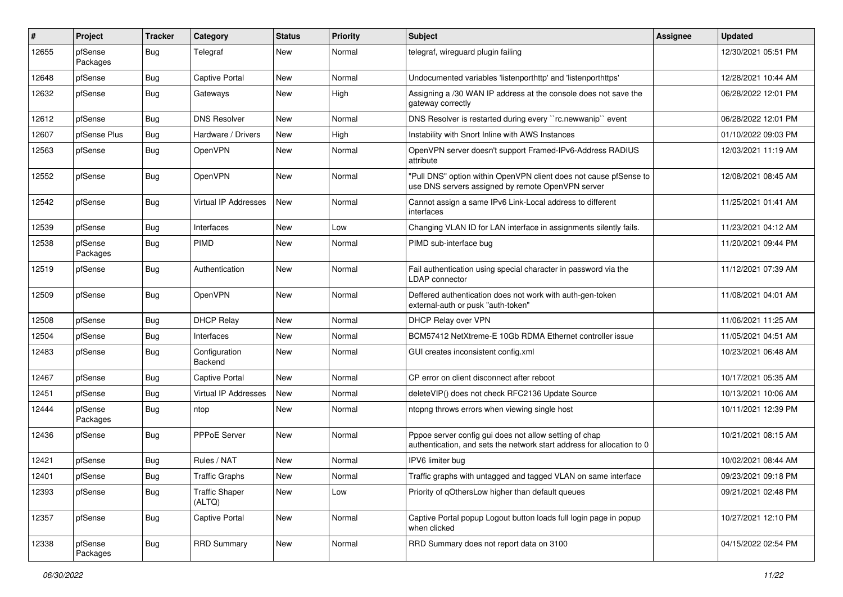| #     | Project             | <b>Tracker</b> | Category                        | <b>Status</b> | <b>Priority</b> | <b>Subject</b>                                                                                                                   | Assignee | <b>Updated</b>      |
|-------|---------------------|----------------|---------------------------------|---------------|-----------------|----------------------------------------------------------------------------------------------------------------------------------|----------|---------------------|
| 12655 | pfSense<br>Packages | Bug            | Telegraf                        | New           | Normal          | telegraf, wireguard plugin failing                                                                                               |          | 12/30/2021 05:51 PM |
| 12648 | pfSense             | Bug            | Captive Portal                  | New           | Normal          | Undocumented variables 'listenporthttp' and 'listenporthttps'                                                                    |          | 12/28/2021 10:44 AM |
| 12632 | pfSense             | Bug            | Gateways                        | New           | High            | Assigning a /30 WAN IP address at the console does not save the<br>gateway correctly                                             |          | 06/28/2022 12:01 PM |
| 12612 | pfSense             | Bug            | <b>DNS Resolver</b>             | New           | Normal          | DNS Resolver is restarted during every "rc.newwanip" event                                                                       |          | 06/28/2022 12:01 PM |
| 12607 | pfSense Plus        | Bug            | Hardware / Drivers              | New           | High            | Instability with Snort Inline with AWS Instances                                                                                 |          | 01/10/2022 09:03 PM |
| 12563 | pfSense             | Bug            | OpenVPN                         | New           | Normal          | OpenVPN server doesn't support Framed-IPv6-Address RADIUS<br>attribute                                                           |          | 12/03/2021 11:19 AM |
| 12552 | pfSense             | Bug            | OpenVPN                         | New           | Normal          | "Pull DNS" option within OpenVPN client does not cause pfSense to<br>use DNS servers assigned by remote OpenVPN server           |          | 12/08/2021 08:45 AM |
| 12542 | pfSense             | Bug            | Virtual IP Addresses            | New           | Normal          | Cannot assign a same IPv6 Link-Local address to different<br>interfaces                                                          |          | 11/25/2021 01:41 AM |
| 12539 | pfSense             | Bug            | Interfaces                      | New           | Low             | Changing VLAN ID for LAN interface in assignments silently fails.                                                                |          | 11/23/2021 04:12 AM |
| 12538 | pfSense<br>Packages | Bug            | <b>PIMD</b>                     | New           | Normal          | PIMD sub-interface bug                                                                                                           |          | 11/20/2021 09:44 PM |
| 12519 | pfSense             | Bug            | Authentication                  | New           | Normal          | Fail authentication using special character in password via the<br>LDAP connector                                                |          | 11/12/2021 07:39 AM |
| 12509 | pfSense             | Bug            | <b>OpenVPN</b>                  | <b>New</b>    | Normal          | Deffered authentication does not work with auth-gen-token<br>external-auth or pusk "auth-token"                                  |          | 11/08/2021 04:01 AM |
| 12508 | pfSense             | Bug            | <b>DHCP Relay</b>               | New           | Normal          | DHCP Relay over VPN                                                                                                              |          | 11/06/2021 11:25 AM |
| 12504 | pfSense             | Bug            | Interfaces                      | New           | Normal          | BCM57412 NetXtreme-E 10Gb RDMA Ethernet controller issue                                                                         |          | 11/05/2021 04:51 AM |
| 12483 | pfSense             | Bug            | Configuration<br>Backend        | New           | Normal          | GUI creates inconsistent config.xml                                                                                              |          | 10/23/2021 06:48 AM |
| 12467 | pfSense             | Bug            | Captive Portal                  | New           | Normal          | CP error on client disconnect after reboot                                                                                       |          | 10/17/2021 05:35 AM |
| 12451 | pfSense             | <b>Bug</b>     | <b>Virtual IP Addresses</b>     | New           | Normal          | deleteVIP() does not check RFC2136 Update Source                                                                                 |          | 10/13/2021 10:06 AM |
| 12444 | pfSense<br>Packages | <b>Bug</b>     | ntop                            | New           | Normal          | ntopng throws errors when viewing single host                                                                                    |          | 10/11/2021 12:39 PM |
| 12436 | pfSense             | Bug            | <b>PPPoE Server</b>             | New           | Normal          | Pppoe server config gui does not allow setting of chap<br>authentication, and sets the network start address for allocation to 0 |          | 10/21/2021 08:15 AM |
| 12421 | pfSense             | Bug            | Rules / NAT                     | New           | Normal          | IPV6 limiter bug                                                                                                                 |          | 10/02/2021 08:44 AM |
| 12401 | pfSense             | <b>Bug</b>     | <b>Traffic Graphs</b>           | New           | Normal          | Traffic graphs with untagged and tagged VLAN on same interface                                                                   |          | 09/23/2021 09:18 PM |
| 12393 | pfSense             | Bug            | <b>Traffic Shaper</b><br>(ALTQ) | New           | Low             | Priority of qOthersLow higher than default queues                                                                                |          | 09/21/2021 02:48 PM |
| 12357 | pfSense             | <b>Bug</b>     | <b>Captive Portal</b>           | New           | Normal          | Captive Portal popup Logout button loads full login page in popup<br>when clicked                                                |          | 10/27/2021 12:10 PM |
| 12338 | pfSense<br>Packages | <b>Bug</b>     | <b>RRD Summary</b>              | New           | Normal          | RRD Summary does not report data on 3100                                                                                         |          | 04/15/2022 02:54 PM |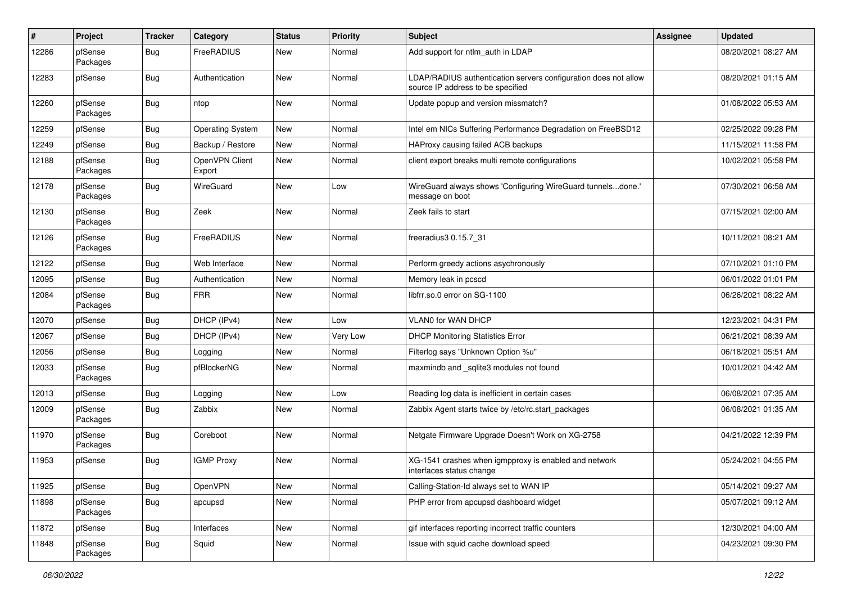| $\pmb{\#}$ | Project             | <b>Tracker</b> | Category                 | <b>Status</b> | <b>Priority</b> | <b>Subject</b>                                                                                       | <b>Assignee</b> | <b>Updated</b>      |
|------------|---------------------|----------------|--------------------------|---------------|-----------------|------------------------------------------------------------------------------------------------------|-----------------|---------------------|
| 12286      | pfSense<br>Packages | Bug            | FreeRADIUS               | New           | Normal          | Add support for ntlm_auth in LDAP                                                                    |                 | 08/20/2021 08:27 AM |
| 12283      | pfSense             | <b>Bug</b>     | Authentication           | New           | Normal          | LDAP/RADIUS authentication servers configuration does not allow<br>source IP address to be specified |                 | 08/20/2021 01:15 AM |
| 12260      | pfSense<br>Packages | <b>Bug</b>     | ntop                     | New           | Normal          | Update popup and version missmatch?                                                                  |                 | 01/08/2022 05:53 AM |
| 12259      | pfSense             | Bug            | <b>Operating System</b>  | New           | Normal          | Intel em NICs Suffering Performance Degradation on FreeBSD12                                         |                 | 02/25/2022 09:28 PM |
| 12249      | pfSense             | <b>Bug</b>     | Backup / Restore         | New           | Normal          | HAProxy causing failed ACB backups                                                                   |                 | 11/15/2021 11:58 PM |
| 12188      | pfSense<br>Packages | <b>Bug</b>     | OpenVPN Client<br>Export | New           | Normal          | client export breaks multi remote configurations                                                     |                 | 10/02/2021 05:58 PM |
| 12178      | pfSense<br>Packages | <b>Bug</b>     | WireGuard                | New           | Low             | WireGuard always shows 'Configuring WireGuard tunnelsdone.'<br>message on boot                       |                 | 07/30/2021 06:58 AM |
| 12130      | pfSense<br>Packages | <b>Bug</b>     | Zeek                     | New           | Normal          | Zeek fails to start                                                                                  |                 | 07/15/2021 02:00 AM |
| 12126      | pfSense<br>Packages | <b>Bug</b>     | <b>FreeRADIUS</b>        | New           | Normal          | freeradius3 0.15.7 31                                                                                |                 | 10/11/2021 08:21 AM |
| 12122      | pfSense             | <b>Bug</b>     | Web Interface            | New           | Normal          | Perform greedy actions asychronously                                                                 |                 | 07/10/2021 01:10 PM |
| 12095      | pfSense             | <b>Bug</b>     | Authentication           | New           | Normal          | Memory leak in pcscd                                                                                 |                 | 06/01/2022 01:01 PM |
| 12084      | pfSense<br>Packages | Bug            | <b>FRR</b>               | New           | Normal          | libfrr.so.0 error on SG-1100                                                                         |                 | 06/26/2021 08:22 AM |
| 12070      | pfSense             | <b>Bug</b>     | DHCP (IPv4)              | <b>New</b>    | Low             | <b>VLANO for WAN DHCP</b>                                                                            |                 | 12/23/2021 04:31 PM |
| 12067      | pfSense             | Bug            | DHCP (IPv4)              | New           | Very Low        | <b>DHCP Monitoring Statistics Error</b>                                                              |                 | 06/21/2021 08:39 AM |
| 12056      | pfSense             | Bug            | Logging                  | New           | Normal          | Filterlog says "Unknown Option %u"                                                                   |                 | 06/18/2021 05:51 AM |
| 12033      | pfSense<br>Packages | <b>Bug</b>     | pfBlockerNG              | New           | Normal          | maxmindb and _sqlite3 modules not found                                                              |                 | 10/01/2021 04:42 AM |
| 12013      | pfSense             | Bug            | Logging                  | New           | Low             | Reading log data is inefficient in certain cases                                                     |                 | 06/08/2021 07:35 AM |
| 12009      | pfSense<br>Packages | <b>Bug</b>     | Zabbix                   | New           | Normal          | Zabbix Agent starts twice by /etc/rc.start_packages                                                  |                 | 06/08/2021 01:35 AM |
| 11970      | pfSense<br>Packages | <b>Bug</b>     | Coreboot                 | New           | Normal          | Netgate Firmware Upgrade Doesn't Work on XG-2758                                                     |                 | 04/21/2022 12:39 PM |
| 11953      | pfSense             | <b>Bug</b>     | <b>IGMP Proxy</b>        | New           | Normal          | XG-1541 crashes when igmpproxy is enabled and network<br>interfaces status change                    |                 | 05/24/2021 04:55 PM |
| 11925      | pfSense             | Bug            | OpenVPN                  | New           | Normal          | Calling-Station-Id always set to WAN IP                                                              |                 | 05/14/2021 09:27 AM |
| 11898      | pfSense<br>Packages | <b>Bug</b>     | apcupsd                  | New           | Normal          | PHP error from apcupsd dashboard widget                                                              |                 | 05/07/2021 09:12 AM |
| 11872      | pfSense             | Bug            | Interfaces               | New           | Normal          | gif interfaces reporting incorrect traffic counters                                                  |                 | 12/30/2021 04:00 AM |
| 11848      | pfSense<br>Packages | <b>Bug</b>     | Squid                    | New           | Normal          | Issue with squid cache download speed                                                                |                 | 04/23/2021 09:30 PM |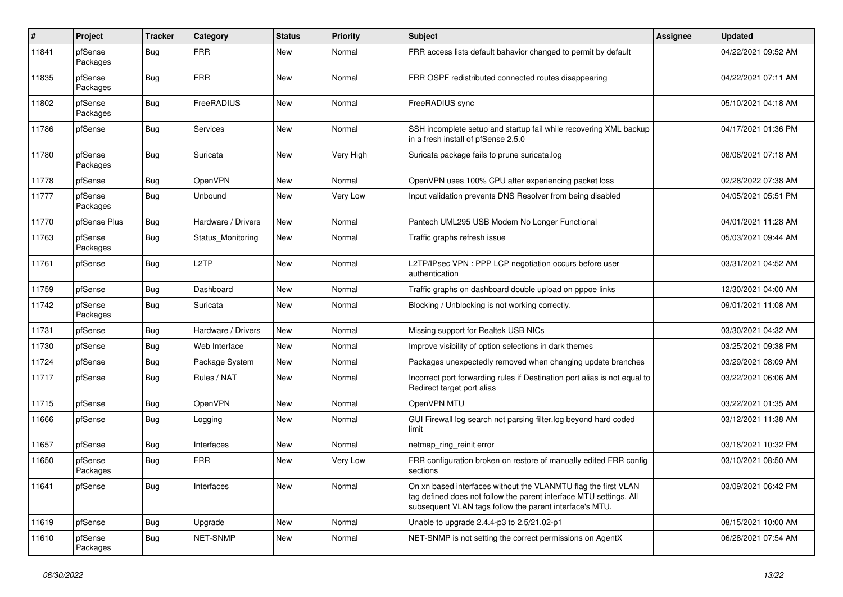| #     | Project             | <b>Tracker</b> | Category           | <b>Status</b> | <b>Priority</b> | Subject                                                                                                                                                                                         | <b>Assignee</b> | <b>Updated</b>      |
|-------|---------------------|----------------|--------------------|---------------|-----------------|-------------------------------------------------------------------------------------------------------------------------------------------------------------------------------------------------|-----------------|---------------------|
| 11841 | pfSense<br>Packages | Bug            | <b>FRR</b>         | New           | Normal          | FRR access lists default bahavior changed to permit by default                                                                                                                                  |                 | 04/22/2021 09:52 AM |
| 11835 | pfSense<br>Packages | Bug            | <b>FRR</b>         | New           | Normal          | FRR OSPF redistributed connected routes disappearing                                                                                                                                            |                 | 04/22/2021 07:11 AM |
| 11802 | pfSense<br>Packages | <b>Bug</b>     | FreeRADIUS         | <b>New</b>    | Normal          | FreeRADIUS sync                                                                                                                                                                                 |                 | 05/10/2021 04:18 AM |
| 11786 | pfSense             | Bug            | Services           | New           | Normal          | SSH incomplete setup and startup fail while recovering XML backup<br>in a fresh install of pfSense 2.5.0                                                                                        |                 | 04/17/2021 01:36 PM |
| 11780 | pfSense<br>Packages | Bug            | Suricata           | New           | Very High       | Suricata package fails to prune suricata.log                                                                                                                                                    |                 | 08/06/2021 07:18 AM |
| 11778 | pfSense             | Bug            | OpenVPN            | New           | Normal          | OpenVPN uses 100% CPU after experiencing packet loss                                                                                                                                            |                 | 02/28/2022 07:38 AM |
| 11777 | pfSense<br>Packages | Bug            | Unbound            | New           | Very Low        | Input validation prevents DNS Resolver from being disabled                                                                                                                                      |                 | 04/05/2021 05:51 PM |
| 11770 | pfSense Plus        | Bug            | Hardware / Drivers | New           | Normal          | Pantech UML295 USB Modem No Longer Functional                                                                                                                                                   |                 | 04/01/2021 11:28 AM |
| 11763 | pfSense<br>Packages | Bug            | Status_Monitoring  | New           | Normal          | Traffic graphs refresh issue                                                                                                                                                                    |                 | 05/03/2021 09:44 AM |
| 11761 | pfSense             | Bug            | L2TP               | New           | Normal          | L2TP/IPsec VPN : PPP LCP negotiation occurs before user<br>authentication                                                                                                                       |                 | 03/31/2021 04:52 AM |
| 11759 | pfSense             | Bug            | Dashboard          | New           | Normal          | Traffic graphs on dashboard double upload on pppoe links                                                                                                                                        |                 | 12/30/2021 04:00 AM |
| 11742 | pfSense<br>Packages | Bug            | Suricata           | New           | Normal          | Blocking / Unblocking is not working correctly.                                                                                                                                                 |                 | 09/01/2021 11:08 AM |
| 11731 | pfSense             | Bug            | Hardware / Drivers | New           | Normal          | Missing support for Realtek USB NICs                                                                                                                                                            |                 | 03/30/2021 04:32 AM |
| 11730 | pfSense             | Bug            | Web Interface      | New           | Normal          | Improve visibility of option selections in dark themes                                                                                                                                          |                 | 03/25/2021 09:38 PM |
| 11724 | pfSense             | <b>Bug</b>     | Package System     | New           | Normal          | Packages unexpectedly removed when changing update branches                                                                                                                                     |                 | 03/29/2021 08:09 AM |
| 11717 | pfSense             | Bug            | Rules / NAT        | New           | Normal          | Incorrect port forwarding rules if Destination port alias is not equal to<br>Redirect target port alias                                                                                         |                 | 03/22/2021 06:06 AM |
| 11715 | pfSense             | <b>Bug</b>     | OpenVPN            | New           | Normal          | OpenVPN MTU                                                                                                                                                                                     |                 | 03/22/2021 01:35 AM |
| 11666 | pfSense             | Bug            | Logging            | New           | Normal          | GUI Firewall log search not parsing filter log beyond hard coded<br>limit                                                                                                                       |                 | 03/12/2021 11:38 AM |
| 11657 | pfSense             | Bug            | Interfaces         | New           | Normal          | netmap_ring_reinit error                                                                                                                                                                        |                 | 03/18/2021 10:32 PM |
| 11650 | pfSense<br>Packages | Bug            | <b>FRR</b>         | New           | Very Low        | FRR configuration broken on restore of manually edited FRR config<br>sections                                                                                                                   |                 | 03/10/2021 08:50 AM |
| 11641 | pfSense             | Bug            | Interfaces         | New           | Normal          | On xn based interfaces without the VLANMTU flag the first VLAN<br>tag defined does not follow the parent interface MTU settings. All<br>subsequent VLAN tags follow the parent interface's MTU. |                 | 03/09/2021 06:42 PM |
| 11619 | pfSense             | Bug            | Upgrade            | New           | Normal          | Unable to upgrade 2.4.4-p3 to 2.5/21.02-p1                                                                                                                                                      |                 | 08/15/2021 10:00 AM |
| 11610 | pfSense<br>Packages | <b>Bug</b>     | NET-SNMP           | New           | Normal          | NET-SNMP is not setting the correct permissions on AgentX                                                                                                                                       |                 | 06/28/2021 07:54 AM |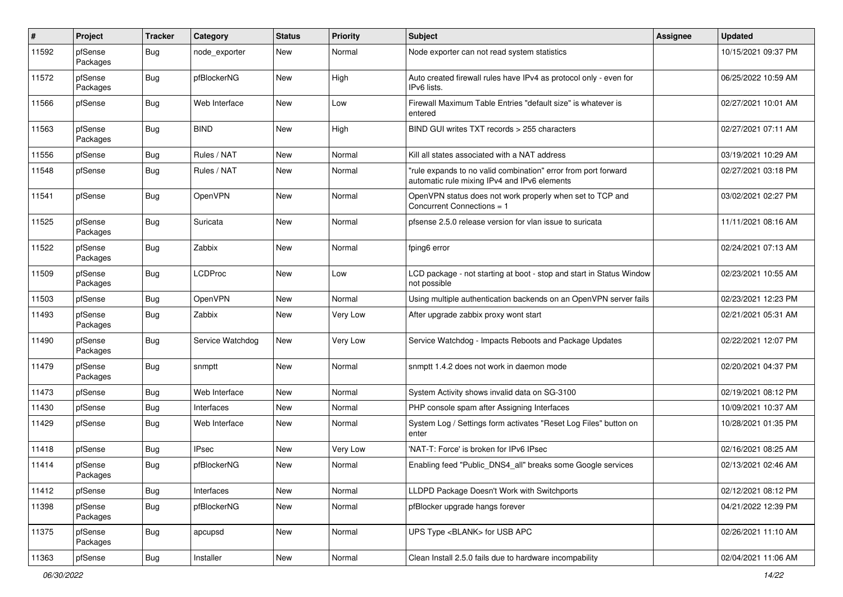| #     | Project             | Tracker    | Category         | <b>Status</b> | <b>Priority</b> | Subject                                                                                                        | <b>Assignee</b> | <b>Updated</b>      |
|-------|---------------------|------------|------------------|---------------|-----------------|----------------------------------------------------------------------------------------------------------------|-----------------|---------------------|
| 11592 | pfSense<br>Packages | Bug        | node exporter    | New           | Normal          | Node exporter can not read system statistics                                                                   |                 | 10/15/2021 09:37 PM |
| 11572 | pfSense<br>Packages | Bug        | pfBlockerNG      | New           | High            | Auto created firewall rules have IPv4 as protocol only - even for<br>IPv6 lists.                               |                 | 06/25/2022 10:59 AM |
| 11566 | pfSense             | <b>Bug</b> | Web Interface    | New           | Low             | Firewall Maximum Table Entries "default size" is whatever is<br>entered                                        |                 | 02/27/2021 10:01 AM |
| 11563 | pfSense<br>Packages | Bug        | <b>BIND</b>      | New           | High            | BIND GUI writes TXT records > 255 characters                                                                   |                 | 02/27/2021 07:11 AM |
| 11556 | pfSense             | Bug        | Rules / NAT      | New           | Normal          | Kill all states associated with a NAT address                                                                  |                 | 03/19/2021 10:29 AM |
| 11548 | pfSense             | Bug        | Rules / NAT      | New           | Normal          | "rule expands to no valid combination" error from port forward<br>automatic rule mixing IPv4 and IPv6 elements |                 | 02/27/2021 03:18 PM |
| 11541 | pfSense             | Bug        | OpenVPN          | New           | Normal          | OpenVPN status does not work properly when set to TCP and<br>Concurrent Connections = 1                        |                 | 03/02/2021 02:27 PM |
| 11525 | pfSense<br>Packages | Bug        | Suricata         | New           | Normal          | pfsense 2.5.0 release version for vlan issue to suricata                                                       |                 | 11/11/2021 08:16 AM |
| 11522 | pfSense<br>Packages | <b>Bug</b> | Zabbix           | New           | Normal          | fping6 error                                                                                                   |                 | 02/24/2021 07:13 AM |
| 11509 | pfSense<br>Packages | Bug        | <b>LCDProc</b>   | New           | Low             | LCD package - not starting at boot - stop and start in Status Window<br>not possible                           |                 | 02/23/2021 10:55 AM |
| 11503 | pfSense             | Bug        | OpenVPN          | New           | Normal          | Using multiple authentication backends on an OpenVPN server fails                                              |                 | 02/23/2021 12:23 PM |
| 11493 | pfSense<br>Packages | Bug        | Zabbix           | New           | Very Low        | After upgrade zabbix proxy wont start                                                                          |                 | 02/21/2021 05:31 AM |
| 11490 | pfSense<br>Packages | Bug        | Service Watchdog | <b>New</b>    | Very Low        | Service Watchdog - Impacts Reboots and Package Updates                                                         |                 | 02/22/2021 12:07 PM |
| 11479 | pfSense<br>Packages | <b>Bug</b> | snmptt           | New           | Normal          | snmptt 1.4.2 does not work in daemon mode                                                                      |                 | 02/20/2021 04:37 PM |
| 11473 | pfSense             | <b>Bug</b> | Web Interface    | New           | Normal          | System Activity shows invalid data on SG-3100                                                                  |                 | 02/19/2021 08:12 PM |
| 11430 | pfSense             | <b>Bug</b> | Interfaces       | New           | Normal          | PHP console spam after Assigning Interfaces                                                                    |                 | 10/09/2021 10:37 AM |
| 11429 | pfSense             | Bug        | Web Interface    | New           | Normal          | System Log / Settings form activates "Reset Log Files" button on<br>enter                                      |                 | 10/28/2021 01:35 PM |
| 11418 | pfSense             | Bug        | <b>IPsec</b>     | New           | Very Low        | 'NAT-T: Force' is broken for IPv6 IPsec                                                                        |                 | 02/16/2021 08:25 AM |
| 11414 | pfSense<br>Packages | Bug        | pfBlockerNG      | New           | Normal          | Enabling feed "Public_DNS4_all" breaks some Google services                                                    |                 | 02/13/2021 02:46 AM |
| 11412 | pfSense             | Bug        | Interfaces       | New           | Normal          | LLDPD Package Doesn't Work with Switchports                                                                    |                 | 02/12/2021 08:12 PM |
| 11398 | pfSense<br>Packages | <b>Bug</b> | pfBlockerNG      | New           | Normal          | pfBlocker upgrade hangs forever                                                                                |                 | 04/21/2022 12:39 PM |
| 11375 | pfSense<br>Packages | <b>Bug</b> | apcupsd          | New           | Normal          | UPS Type <blank> for USB APC</blank>                                                                           |                 | 02/26/2021 11:10 AM |
| 11363 | pfSense             | <b>Bug</b> | Installer        | New           | Normal          | Clean Install 2.5.0 fails due to hardware incompability                                                        |                 | 02/04/2021 11:06 AM |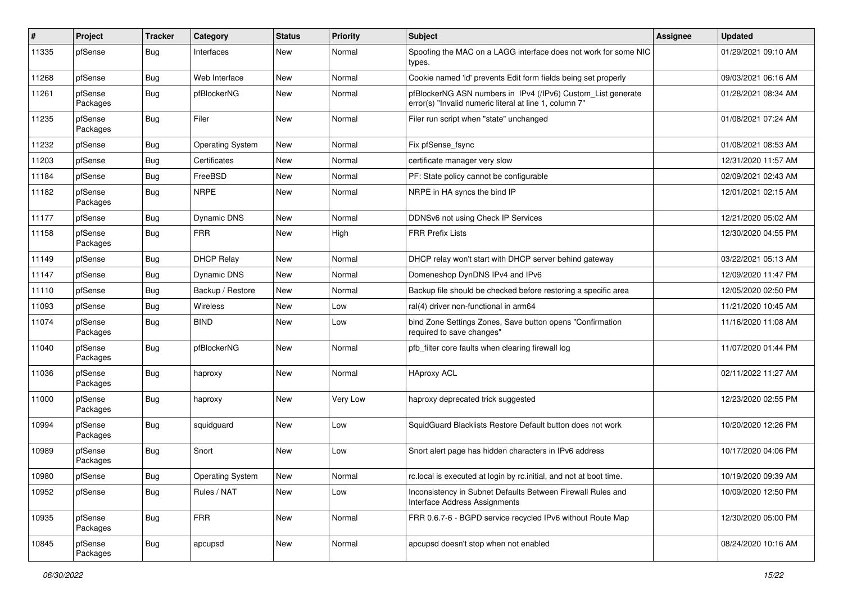| $\sharp$ | Project             | <b>Tracker</b> | Category                | <b>Status</b> | <b>Priority</b> | Subject                                                                                                                | Assignee | <b>Updated</b>      |
|----------|---------------------|----------------|-------------------------|---------------|-----------------|------------------------------------------------------------------------------------------------------------------------|----------|---------------------|
| 11335    | pfSense             | Bug            | Interfaces              | New           | Normal          | Spoofing the MAC on a LAGG interface does not work for some NIC<br>types.                                              |          | 01/29/2021 09:10 AM |
| 11268    | pfSense             | Bug            | Web Interface           | New           | Normal          | Cookie named 'id' prevents Edit form fields being set properly                                                         |          | 09/03/2021 06:16 AM |
| 11261    | pfSense<br>Packages | Bug            | pfBlockerNG             | New           | Normal          | pfBlockerNG ASN numbers in IPv4 (/IPv6) Custom_List generate<br>error(s) "Invalid numeric literal at line 1, column 7" |          | 01/28/2021 08:34 AM |
| 11235    | pfSense<br>Packages | <b>Bug</b>     | Filer                   | <b>New</b>    | Normal          | Filer run script when "state" unchanged                                                                                |          | 01/08/2021 07:24 AM |
| 11232    | pfSense             | Bug            | <b>Operating System</b> | <b>New</b>    | Normal          | Fix pfSense_fsync                                                                                                      |          | 01/08/2021 08:53 AM |
| 11203    | pfSense             | Bug            | Certificates            | New           | Normal          | certificate manager very slow                                                                                          |          | 12/31/2020 11:57 AM |
| 11184    | pfSense             | Bug            | FreeBSD                 | <b>New</b>    | Normal          | PF: State policy cannot be configurable                                                                                |          | 02/09/2021 02:43 AM |
| 11182    | pfSense<br>Packages | <b>Bug</b>     | <b>NRPE</b>             | New           | Normal          | NRPE in HA syncs the bind IP                                                                                           |          | 12/01/2021 02:15 AM |
| 11177    | pfSense             | Bug            | <b>Dynamic DNS</b>      | <b>New</b>    | Normal          | DDNSv6 not using Check IP Services                                                                                     |          | 12/21/2020 05:02 AM |
| 11158    | pfSense<br>Packages | Bug            | <b>FRR</b>              | New           | High            | <b>FRR Prefix Lists</b>                                                                                                |          | 12/30/2020 04:55 PM |
| 11149    | pfSense             | <b>Bug</b>     | <b>DHCP Relay</b>       | <b>New</b>    | Normal          | DHCP relay won't start with DHCP server behind gateway                                                                 |          | 03/22/2021 05:13 AM |
| 11147    | pfSense             | Bug            | Dynamic DNS             | New           | Normal          | Domeneshop DynDNS IPv4 and IPv6                                                                                        |          | 12/09/2020 11:47 PM |
| 11110    | pfSense             | Bug            | Backup / Restore        | New           | Normal          | Backup file should be checked before restoring a specific area                                                         |          | 12/05/2020 02:50 PM |
| 11093    | pfSense             | Bug            | Wireless                | New           | Low             | ral(4) driver non-functional in arm64                                                                                  |          | 11/21/2020 10:45 AM |
| 11074    | pfSense<br>Packages | Bug            | <b>BIND</b>             | New           | Low             | bind Zone Settings Zones, Save button opens "Confirmation<br>required to save changes"                                 |          | 11/16/2020 11:08 AM |
| 11040    | pfSense<br>Packages | <b>Bug</b>     | pfBlockerNG             | New           | Normal          | pfb filter core faults when clearing firewall log                                                                      |          | 11/07/2020 01:44 PM |
| 11036    | pfSense<br>Packages | <b>Bug</b>     | haproxy                 | <b>New</b>    | Normal          | <b>HAproxy ACL</b>                                                                                                     |          | 02/11/2022 11:27 AM |
| 11000    | pfSense<br>Packages | Bug            | haproxy                 | <b>New</b>    | Very Low        | haproxy deprecated trick suggested                                                                                     |          | 12/23/2020 02:55 PM |
| 10994    | pfSense<br>Packages | Bug            | squidguard              | <b>New</b>    | Low             | SquidGuard Blacklists Restore Default button does not work                                                             |          | 10/20/2020 12:26 PM |
| 10989    | pfSense<br>Packages | <b>Bug</b>     | Snort                   | <b>New</b>    | Low             | Snort alert page has hidden characters in IPv6 address                                                                 |          | 10/17/2020 04:06 PM |
| 10980    | pfSense             | Bug            | Operating System        | New           | Normal          | rc.local is executed at login by rc.initial, and not at boot time.                                                     |          | 10/19/2020 09:39 AM |
| 10952    | pfSense             | <b>Bug</b>     | Rules / NAT             | New           | Low             | Inconsistency in Subnet Defaults Between Firewall Rules and<br>Interface Address Assignments                           |          | 10/09/2020 12:50 PM |
| 10935    | pfSense<br>Packages | <b>Bug</b>     | <b>FRR</b>              | New           | Normal          | FRR 0.6.7-6 - BGPD service recycled IPv6 without Route Map                                                             |          | 12/30/2020 05:00 PM |
| 10845    | pfSense<br>Packages | <b>Bug</b>     | apcupsd                 | New           | Normal          | apcupsd doesn't stop when not enabled                                                                                  |          | 08/24/2020 10:16 AM |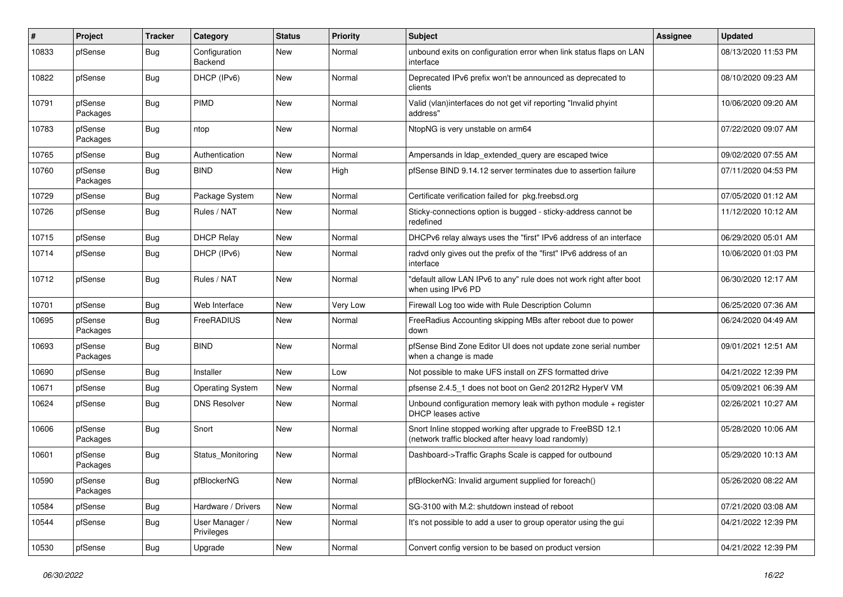| ∦     | Project             | <b>Tracker</b> | Category                     | <b>Status</b> | <b>Priority</b> | <b>Subject</b>                                                                                                    | <b>Assignee</b> | <b>Updated</b>      |
|-------|---------------------|----------------|------------------------------|---------------|-----------------|-------------------------------------------------------------------------------------------------------------------|-----------------|---------------------|
| 10833 | pfSense             | Bug            | Configuration<br>Backend     | New           | Normal          | unbound exits on configuration error when link status flaps on LAN<br>interface                                   |                 | 08/13/2020 11:53 PM |
| 10822 | pfSense             | Bug            | DHCP (IPv6)                  | New           | Normal          | Deprecated IPv6 prefix won't be announced as deprecated to<br>clients                                             |                 | 08/10/2020 09:23 AM |
| 10791 | pfSense<br>Packages | <b>Bug</b>     | PIMD                         | <b>New</b>    | Normal          | Valid (vlan)interfaces do not get vif reporting "Invalid phyint<br>address"                                       |                 | 10/06/2020 09:20 AM |
| 10783 | pfSense<br>Packages | Bug            | ntop                         | <b>New</b>    | Normal          | NtopNG is very unstable on arm64                                                                                  |                 | 07/22/2020 09:07 AM |
| 10765 | pfSense             | Bug            | Authentication               | New           | Normal          | Ampersands in Idap extended query are escaped twice                                                               |                 | 09/02/2020 07:55 AM |
| 10760 | pfSense<br>Packages | Bug            | <b>BIND</b>                  | New           | High            | pfSense BIND 9.14.12 server terminates due to assertion failure                                                   |                 | 07/11/2020 04:53 PM |
| 10729 | pfSense             | <b>Bug</b>     | Package System               | <b>New</b>    | Normal          | Certificate verification failed for pkg.freebsd.org                                                               |                 | 07/05/2020 01:12 AM |
| 10726 | pfSense             | Bug            | Rules / NAT                  | New           | Normal          | Sticky-connections option is bugged - sticky-address cannot be<br>redefined                                       |                 | 11/12/2020 10:12 AM |
| 10715 | pfSense             | Bug            | <b>DHCP Relay</b>            | New           | Normal          | DHCPv6 relay always uses the "first" IPv6 address of an interface                                                 |                 | 06/29/2020 05:01 AM |
| 10714 | pfSense             | <b>Bug</b>     | DHCP (IPv6)                  | New           | Normal          | radvd only gives out the prefix of the "first" IPv6 address of an<br>interface                                    |                 | 10/06/2020 01:03 PM |
| 10712 | pfSense             | Bug            | Rules / NAT                  | New           | Normal          | "default allow LAN IPv6 to any" rule does not work right after boot<br>when using IPv6 PD                         |                 | 06/30/2020 12:17 AM |
| 10701 | pfSense             | <b>Bug</b>     | Web Interface                | New           | Very Low        | Firewall Log too wide with Rule Description Column                                                                |                 | 06/25/2020 07:36 AM |
| 10695 | pfSense<br>Packages | Bug            | FreeRADIUS                   | New           | Normal          | FreeRadius Accounting skipping MBs after reboot due to power<br>down                                              |                 | 06/24/2020 04:49 AM |
| 10693 | pfSense<br>Packages | Bug            | <b>BIND</b>                  | New           | Normal          | pfSense Bind Zone Editor UI does not update zone serial number<br>when a change is made                           |                 | 09/01/2021 12:51 AM |
| 10690 | pfSense             | <b>Bug</b>     | Installer                    | New           | Low             | Not possible to make UFS install on ZFS formatted drive                                                           |                 | 04/21/2022 12:39 PM |
| 10671 | pfSense             | Bug            | <b>Operating System</b>      | New           | Normal          | pfsense 2.4.5_1 does not boot on Gen2 2012R2 HyperV VM                                                            |                 | 05/09/2021 06:39 AM |
| 10624 | pfSense             | Bug            | <b>DNS Resolver</b>          | New           | Normal          | Unbound configuration memory leak with python module $+$ register<br>DHCP leases active                           |                 | 02/26/2021 10:27 AM |
| 10606 | pfSense<br>Packages | Bug            | Snort                        | New           | Normal          | Snort Inline stopped working after upgrade to FreeBSD 12.1<br>(network traffic blocked after heavy load randomly) |                 | 05/28/2020 10:06 AM |
| 10601 | pfSense<br>Packages | Bug            | Status_Monitoring            | New           | Normal          | Dashboard->Traffic Graphs Scale is capped for outbound                                                            |                 | 05/29/2020 10:13 AM |
| 10590 | pfSense<br>Packages | Bug            | pfBlockerNG                  | New           | Normal          | pfBlockerNG: Invalid argument supplied for foreach()                                                              |                 | 05/26/2020 08:22 AM |
| 10584 | pfSense             | <b>Bug</b>     | Hardware / Drivers           | New           | Normal          | SG-3100 with M.2: shutdown instead of reboot                                                                      |                 | 07/21/2020 03:08 AM |
| 10544 | pfSense             | <b>Bug</b>     | User Manager /<br>Privileges | New           | Normal          | It's not possible to add a user to group operator using the gui                                                   |                 | 04/21/2022 12:39 PM |
| 10530 | pfSense             | Bug            | Upgrade                      | New           | Normal          | Convert config version to be based on product version                                                             |                 | 04/21/2022 12:39 PM |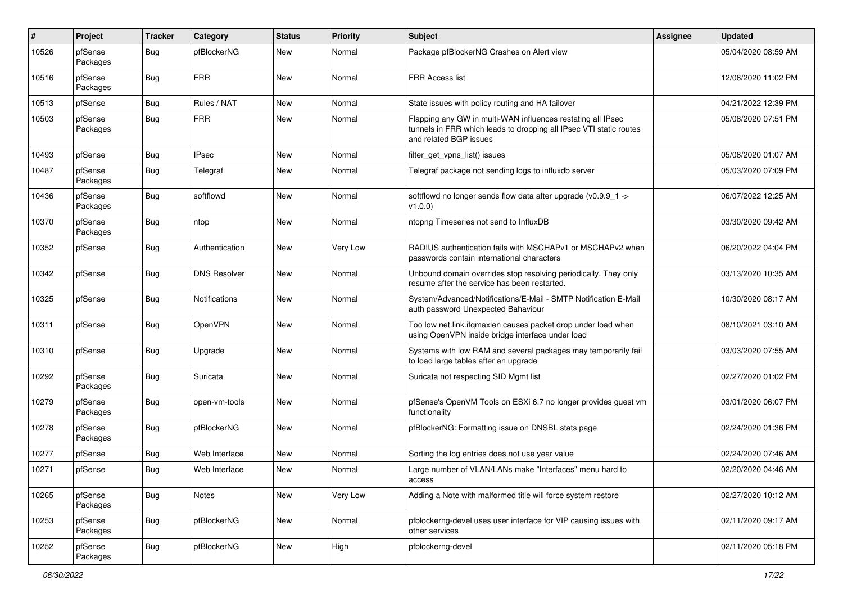| #     | Project             | <b>Tracker</b> | Category             | <b>Status</b> | <b>Priority</b> | <b>Subject</b>                                                                                                                                              | <b>Assignee</b> | <b>Updated</b>      |
|-------|---------------------|----------------|----------------------|---------------|-----------------|-------------------------------------------------------------------------------------------------------------------------------------------------------------|-----------------|---------------------|
| 10526 | pfSense<br>Packages | Bug            | pfBlockerNG          | New           | Normal          | Package pfBlockerNG Crashes on Alert view                                                                                                                   |                 | 05/04/2020 08:59 AM |
| 10516 | pfSense<br>Packages | Bug            | <b>FRR</b>           | New           | Normal          | <b>FRR Access list</b>                                                                                                                                      |                 | 12/06/2020 11:02 PM |
| 10513 | pfSense             | Bug            | Rules / NAT          | <b>New</b>    | Normal          | State issues with policy routing and HA failover                                                                                                            |                 | 04/21/2022 12:39 PM |
| 10503 | pfSense<br>Packages | Bug            | <b>FRR</b>           | New           | Normal          | Flapping any GW in multi-WAN influences restating all IPsec<br>tunnels in FRR which leads to dropping all IPsec VTI static routes<br>and related BGP issues |                 | 05/08/2020 07:51 PM |
| 10493 | pfSense             | <b>Bug</b>     | <b>IPsec</b>         | New           | Normal          | filter get vpns list() issues                                                                                                                               |                 | 05/06/2020 01:07 AM |
| 10487 | pfSense<br>Packages | Bug            | Telegraf             | New           | Normal          | Telegraf package not sending logs to influxdb server                                                                                                        |                 | 05/03/2020 07:09 PM |
| 10436 | pfSense<br>Packages | <b>Bug</b>     | softflowd            | New           | Normal          | softflowd no longer sends flow data after upgrade (v0.9.9_1 -><br>v1.0.0)                                                                                   |                 | 06/07/2022 12:25 AM |
| 10370 | pfSense<br>Packages | Bug            | ntop                 | New           | Normal          | ntopng Timeseries not send to InfluxDB                                                                                                                      |                 | 03/30/2020 09:42 AM |
| 10352 | pfSense             | <b>Bug</b>     | Authentication       | New           | Very Low        | RADIUS authentication fails with MSCHAPv1 or MSCHAPv2 when<br>passwords contain international characters                                                    |                 | 06/20/2022 04:04 PM |
| 10342 | pfSense             | <b>Bug</b>     | <b>DNS Resolver</b>  | New           | Normal          | Unbound domain overrides stop resolving periodically. They only<br>resume after the service has been restarted.                                             |                 | 03/13/2020 10:35 AM |
| 10325 | pfSense             | <b>Bug</b>     | <b>Notifications</b> | New           | Normal          | System/Advanced/Notifications/E-Mail - SMTP Notification E-Mail<br>auth password Unexpected Bahaviour                                                       |                 | 10/30/2020 08:17 AM |
| 10311 | pfSense             | <b>Bug</b>     | OpenVPN              | New           | Normal          | Too low net.link.ifqmaxlen causes packet drop under load when<br>using OpenVPN inside bridge interface under load                                           |                 | 08/10/2021 03:10 AM |
| 10310 | pfSense             | Bug            | Upgrade              | New           | Normal          | Systems with low RAM and several packages may temporarily fail<br>to load large tables after an upgrade                                                     |                 | 03/03/2020 07:55 AM |
| 10292 | pfSense<br>Packages | <b>Bug</b>     | Suricata             | New           | Normal          | Suricata not respecting SID Mgmt list                                                                                                                       |                 | 02/27/2020 01:02 PM |
| 10279 | pfSense<br>Packages | Bug            | open-vm-tools        | New           | Normal          | pfSense's OpenVM Tools on ESXi 6.7 no longer provides guest vm<br>functionality                                                                             |                 | 03/01/2020 06:07 PM |
| 10278 | pfSense<br>Packages | <b>Bug</b>     | pfBlockerNG          | New           | Normal          | pfBlockerNG: Formatting issue on DNSBL stats page                                                                                                           |                 | 02/24/2020 01:36 PM |
| 10277 | pfSense             | Bug            | Web Interface        | New           | Normal          | Sorting the log entries does not use year value                                                                                                             |                 | 02/24/2020 07:46 AM |
| 10271 | pfSense             | <b>Bug</b>     | Web Interface        | New           | Normal          | Large number of VLAN/LANs make "Interfaces" menu hard to<br>access                                                                                          |                 | 02/20/2020 04:46 AM |
| 10265 | pfSense<br>Packages | <b>Bug</b>     | <b>Notes</b>         | New           | Very Low        | Adding a Note with malformed title will force system restore                                                                                                |                 | 02/27/2020 10:12 AM |
| 10253 | pfSense<br>Packages | <b>Bug</b>     | pfBlockerNG          | New           | Normal          | pfblockerng-devel uses user interface for VIP causing issues with<br>other services                                                                         |                 | 02/11/2020 09:17 AM |
| 10252 | pfSense<br>Packages | <b>Bug</b>     | pfBlockerNG          | New           | High            | pfblockerng-devel                                                                                                                                           |                 | 02/11/2020 05:18 PM |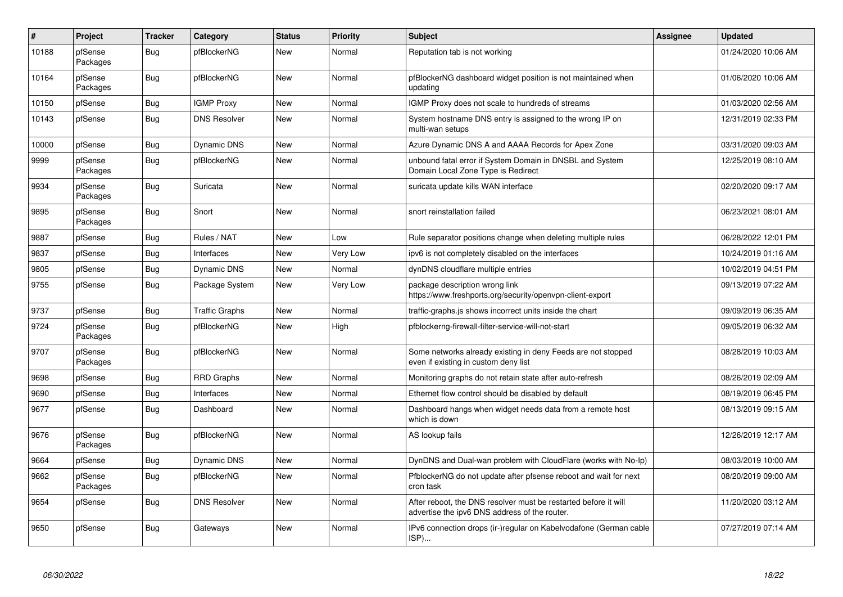| $\vert$ # | Project             | <b>Tracker</b> | Category              | <b>Status</b> | <b>Priority</b> | <b>Subject</b>                                                                                                   | <b>Assignee</b> | <b>Updated</b>      |
|-----------|---------------------|----------------|-----------------------|---------------|-----------------|------------------------------------------------------------------------------------------------------------------|-----------------|---------------------|
| 10188     | pfSense<br>Packages | <b>Bug</b>     | pfBlockerNG           | New           | Normal          | Reputation tab is not working                                                                                    |                 | 01/24/2020 10:06 AM |
| 10164     | pfSense<br>Packages | Bug            | pfBlockerNG           | New           | Normal          | pfBlockerNG dashboard widget position is not maintained when<br>updating                                         |                 | 01/06/2020 10:06 AM |
| 10150     | pfSense             | <b>Bug</b>     | <b>IGMP Proxy</b>     | New           | Normal          | IGMP Proxy does not scale to hundreds of streams                                                                 |                 | 01/03/2020 02:56 AM |
| 10143     | pfSense             | <b>Bug</b>     | <b>DNS Resolver</b>   | New           | Normal          | System hostname DNS entry is assigned to the wrong IP on<br>multi-wan setups                                     |                 | 12/31/2019 02:33 PM |
| 10000     | pfSense             | Bug            | Dynamic DNS           | New           | Normal          | Azure Dynamic DNS A and AAAA Records for Apex Zone                                                               |                 | 03/31/2020 09:03 AM |
| 9999      | pfSense<br>Packages | Bug            | pfBlockerNG           | New           | Normal          | unbound fatal error if System Domain in DNSBL and System<br>Domain Local Zone Type is Redirect                   |                 | 12/25/2019 08:10 AM |
| 9934      | pfSense<br>Packages | <b>Bug</b>     | Suricata              | <b>New</b>    | Normal          | suricata update kills WAN interface                                                                              |                 | 02/20/2020 09:17 AM |
| 9895      | pfSense<br>Packages | <b>Bug</b>     | Snort                 | <b>New</b>    | Normal          | snort reinstallation failed                                                                                      |                 | 06/23/2021 08:01 AM |
| 9887      | pfSense             | <b>Bug</b>     | Rules / NAT           | New           | Low             | Rule separator positions change when deleting multiple rules                                                     |                 | 06/28/2022 12:01 PM |
| 9837      | pfSense             | Bug            | Interfaces            | New           | Very Low        | ipv6 is not completely disabled on the interfaces                                                                |                 | 10/24/2019 01:16 AM |
| 9805      | pfSense             | Bug            | Dynamic DNS           | <b>New</b>    | Normal          | dynDNS cloudflare multiple entries                                                                               |                 | 10/02/2019 04:51 PM |
| 9755      | pfSense             | Bug            | Package System        | New           | Very Low        | package description wrong link<br>https://www.freshports.org/security/openvpn-client-export                      |                 | 09/13/2019 07:22 AM |
| 9737      | pfSense             | Bug            | <b>Traffic Graphs</b> | <b>New</b>    | Normal          | traffic-graphs is shows incorrect units inside the chart                                                         |                 | 09/09/2019 06:35 AM |
| 9724      | pfSense<br>Packages | <b>Bug</b>     | pfBlockerNG           | New           | High            | pfblockerng-firewall-filter-service-will-not-start                                                               |                 | 09/05/2019 06:32 AM |
| 9707      | pfSense<br>Packages | <b>Bug</b>     | pfBlockerNG           | <b>New</b>    | Normal          | Some networks already existing in deny Feeds are not stopped<br>even if existing in custom deny list             |                 | 08/28/2019 10:03 AM |
| 9698      | pfSense             | <b>Bug</b>     | <b>RRD Graphs</b>     | <b>New</b>    | Normal          | Monitoring graphs do not retain state after auto-refresh                                                         |                 | 08/26/2019 02:09 AM |
| 9690      | pfSense             | Bug            | Interfaces            | New           | Normal          | Ethernet flow control should be disabled by default                                                              |                 | 08/19/2019 06:45 PM |
| 9677      | pfSense             | <b>Bug</b>     | Dashboard             | New           | Normal          | Dashboard hangs when widget needs data from a remote host<br>which is down                                       |                 | 08/13/2019 09:15 AM |
| 9676      | pfSense<br>Packages | Bug            | pfBlockerNG           | <b>New</b>    | Normal          | AS lookup fails                                                                                                  |                 | 12/26/2019 12:17 AM |
| 9664      | pfSense             | Bug            | Dynamic DNS           | New           | Normal          | DynDNS and Dual-wan problem with CloudFlare (works with No-Ip)                                                   |                 | 08/03/2019 10:00 AM |
| 9662      | pfSense<br>Packages | <b>Bug</b>     | pfBlockerNG           | <b>New</b>    | Normal          | PfblockerNG do not update after pfsense reboot and wait for next<br>cron task                                    |                 | 08/20/2019 09:00 AM |
| 9654      | pfSense             | <b>Bug</b>     | <b>DNS Resolver</b>   | <b>New</b>    | Normal          | After reboot, the DNS resolver must be restarted before it will<br>advertise the ipv6 DNS address of the router. |                 | 11/20/2020 03:12 AM |
| 9650      | pfSense             | <b>Bug</b>     | Gateways              | <b>New</b>    | Normal          | IPv6 connection drops (ir-)regular on Kabelvodafone (German cable<br>ISP)                                        |                 | 07/27/2019 07:14 AM |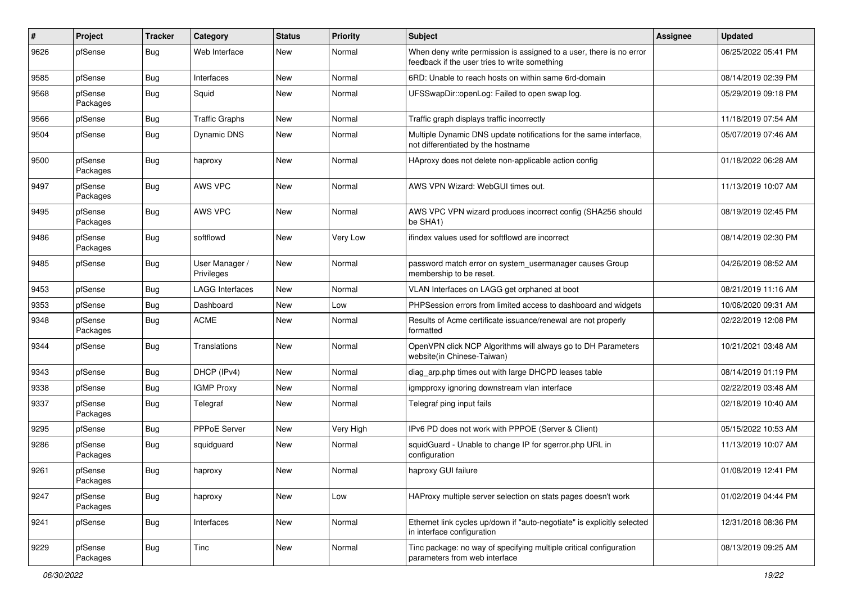| $\#$ | Project             | <b>Tracker</b> | Category                     | <b>Status</b> | Priority  | Subject                                                                                                              | <b>Assignee</b> | <b>Updated</b>      |
|------|---------------------|----------------|------------------------------|---------------|-----------|----------------------------------------------------------------------------------------------------------------------|-----------------|---------------------|
| 9626 | pfSense             | Bug            | Web Interface                | New           | Normal    | When deny write permission is assigned to a user, there is no error<br>feedback if the user tries to write something |                 | 06/25/2022 05:41 PM |
| 9585 | pfSense             | Bug            | Interfaces                   | New           | Normal    | 6RD: Unable to reach hosts on within same 6rd-domain                                                                 |                 | 08/14/2019 02:39 PM |
| 9568 | pfSense<br>Packages | Bug            | Squid                        | New           | Normal    | UFSSwapDir::openLog: Failed to open swap log.                                                                        |                 | 05/29/2019 09:18 PM |
| 9566 | pfSense             | Bug            | <b>Traffic Graphs</b>        | New           | Normal    | Traffic graph displays traffic incorrectly                                                                           |                 | 11/18/2019 07:54 AM |
| 9504 | pfSense             | Bug            | Dynamic DNS                  | New           | Normal    | Multiple Dynamic DNS update notifications for the same interface,<br>not differentiated by the hostname              |                 | 05/07/2019 07:46 AM |
| 9500 | pfSense<br>Packages | Bug            | haproxy                      | New           | Normal    | HAproxy does not delete non-applicable action config                                                                 |                 | 01/18/2022 06:28 AM |
| 9497 | pfSense<br>Packages | <b>Bug</b>     | AWS VPC                      | New           | Normal    | AWS VPN Wizard: WebGUI times out.                                                                                    |                 | 11/13/2019 10:07 AM |
| 9495 | pfSense<br>Packages | Bug            | AWS VPC                      | <b>New</b>    | Normal    | AWS VPC VPN wizard produces incorrect config (SHA256 should<br>be SHA1)                                              |                 | 08/19/2019 02:45 PM |
| 9486 | pfSense<br>Packages | Bug            | softflowd                    | New           | Very Low  | ifindex values used for softflowd are incorrect                                                                      |                 | 08/14/2019 02:30 PM |
| 9485 | pfSense             | Bug            | User Manager /<br>Privileges | New           | Normal    | password match error on system_usermanager causes Group<br>membership to be reset.                                   |                 | 04/26/2019 08:52 AM |
| 9453 | pfSense             | Bug            | <b>LAGG Interfaces</b>       | <b>New</b>    | Normal    | VLAN Interfaces on LAGG get orphaned at boot                                                                         |                 | 08/21/2019 11:16 AM |
| 9353 | pfSense             | Bug            | Dashboard                    | New           | Low       | PHPSession errors from limited access to dashboard and widgets                                                       |                 | 10/06/2020 09:31 AM |
| 9348 | pfSense<br>Packages | Bug            | <b>ACME</b>                  | New           | Normal    | Results of Acme certificate issuance/renewal are not properly<br>formatted                                           |                 | 02/22/2019 12:08 PM |
| 9344 | pfSense             | Bug            | Translations                 | New           | Normal    | OpenVPN click NCP Algorithms will always go to DH Parameters<br>website(in Chinese-Taiwan)                           |                 | 10/21/2021 03:48 AM |
| 9343 | pfSense             | Bug            | DHCP (IPv4)                  | New           | Normal    | diag_arp.php times out with large DHCPD leases table                                                                 |                 | 08/14/2019 01:19 PM |
| 9338 | pfSense             | Bug            | <b>IGMP Proxy</b>            | New           | Normal    | igmpproxy ignoring downstream vlan interface                                                                         |                 | 02/22/2019 03:48 AM |
| 9337 | pfSense<br>Packages | Bug            | Telegraf                     | <b>New</b>    | Normal    | Telegraf ping input fails                                                                                            |                 | 02/18/2019 10:40 AM |
| 9295 | pfSense             | Bug            | <b>PPPoE Server</b>          | <b>New</b>    | Very High | IPv6 PD does not work with PPPOE (Server & Client)                                                                   |                 | 05/15/2022 10:53 AM |
| 9286 | pfSense<br>Packages | Bug            | squidguard                   | New           | Normal    | squidGuard - Unable to change IP for sgerror.php URL in<br>configuration                                             |                 | 11/13/2019 10:07 AM |
| 9261 | pfSense<br>Packages | Bug            | haproxy                      | New           | Normal    | haproxy GUI failure                                                                                                  |                 | 01/08/2019 12:41 PM |
| 9247 | pfSense<br>Packages | <b>Bug</b>     | haproxy                      | <b>New</b>    | Low       | HAProxy multiple server selection on stats pages doesn't work                                                        |                 | 01/02/2019 04:44 PM |
| 9241 | pfSense             | Bug            | Interfaces                   | New           | Normal    | Ethernet link cycles up/down if "auto-negotiate" is explicitly selected<br>in interface configuration                |                 | 12/31/2018 08:36 PM |
| 9229 | pfSense<br>Packages | <b>Bug</b>     | Tinc                         | New           | Normal    | Tinc package: no way of specifying multiple critical configuration<br>parameters from web interface                  |                 | 08/13/2019 09:25 AM |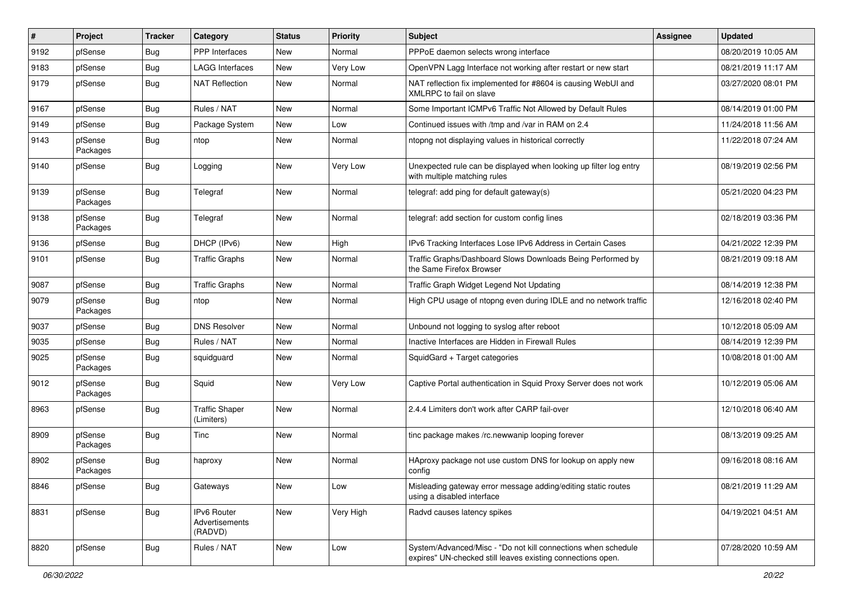| $\vert$ # | Project             | <b>Tracker</b> | Category                                 | <b>Status</b> | <b>Priority</b> | Subject                                                                                                                      | Assignee | <b>Updated</b>      |
|-----------|---------------------|----------------|------------------------------------------|---------------|-----------------|------------------------------------------------------------------------------------------------------------------------------|----------|---------------------|
| 9192      | pfSense             | Bug            | PPP Interfaces                           | New           | Normal          | PPPoE daemon selects wrong interface                                                                                         |          | 08/20/2019 10:05 AM |
| 9183      | pfSense             | Bug            | <b>LAGG Interfaces</b>                   | New           | Very Low        | OpenVPN Lagg Interface not working after restart or new start                                                                |          | 08/21/2019 11:17 AM |
| 9179      | pfSense             | <b>Bug</b>     | <b>NAT Reflection</b>                    | New           | Normal          | NAT reflection fix implemented for #8604 is causing WebUI and<br>XMLRPC to fail on slave                                     |          | 03/27/2020 08:01 PM |
| 9167      | pfSense             | Bug            | Rules / NAT                              | <b>New</b>    | Normal          | Some Important ICMPv6 Traffic Not Allowed by Default Rules                                                                   |          | 08/14/2019 01:00 PM |
| 9149      | pfSense             | Bug            | Package System                           | New           | Low             | Continued issues with /tmp and /var in RAM on 2.4                                                                            |          | 11/24/2018 11:56 AM |
| 9143      | pfSense<br>Packages | Bug            | ntop                                     | New           | Normal          | ntopng not displaying values in historical correctly                                                                         |          | 11/22/2018 07:24 AM |
| 9140      | pfSense             | Bug            | Logging                                  | New           | Very Low        | Unexpected rule can be displayed when looking up filter log entry<br>with multiple matching rules                            |          | 08/19/2019 02:56 PM |
| 9139      | pfSense<br>Packages | <b>Bug</b>     | Telegraf                                 | <b>New</b>    | Normal          | telegraf: add ping for default gateway(s)                                                                                    |          | 05/21/2020 04:23 PM |
| 9138      | pfSense<br>Packages | <b>Bug</b>     | Telegraf                                 | New           | Normal          | telegraf: add section for custom config lines                                                                                |          | 02/18/2019 03:36 PM |
| 9136      | pfSense             | <b>Bug</b>     | DHCP (IPv6)                              | <b>New</b>    | High            | IPv6 Tracking Interfaces Lose IPv6 Address in Certain Cases                                                                  |          | 04/21/2022 12:39 PM |
| 9101      | pfSense             | Bug            | <b>Traffic Graphs</b>                    | <b>New</b>    | Normal          | Traffic Graphs/Dashboard Slows Downloads Being Performed by<br>the Same Firefox Browser                                      |          | 08/21/2019 09:18 AM |
| 9087      | pfSense             | Bug            | <b>Traffic Graphs</b>                    | New           | Normal          | Traffic Graph Widget Legend Not Updating                                                                                     |          | 08/14/2019 12:38 PM |
| 9079      | pfSense<br>Packages | <b>Bug</b>     | ntop                                     | New           | Normal          | High CPU usage of ntopng even during IDLE and no network traffic                                                             |          | 12/16/2018 02:40 PM |
| 9037      | pfSense             | <b>Bug</b>     | <b>DNS Resolver</b>                      | <b>New</b>    | Normal          | Unbound not logging to syslog after reboot                                                                                   |          | 10/12/2018 05:09 AM |
| 9035      | pfSense             | Bug            | Rules / NAT                              | New           | Normal          | Inactive Interfaces are Hidden in Firewall Rules                                                                             |          | 08/14/2019 12:39 PM |
| 9025      | pfSense<br>Packages | Bug            | squidguard                               | New           | Normal          | SquidGard + Target categories                                                                                                |          | 10/08/2018 01:00 AM |
| 9012      | pfSense<br>Packages | <b>Bug</b>     | Squid                                    | New           | Very Low        | Captive Portal authentication in Squid Proxy Server does not work                                                            |          | 10/12/2019 05:06 AM |
| 8963      | pfSense             | <b>Bug</b>     | <b>Traffic Shaper</b><br>(Limiters)      | <b>New</b>    | Normal          | 2.4.4 Limiters don't work after CARP fail-over                                                                               |          | 12/10/2018 06:40 AM |
| 8909      | pfSense<br>Packages | Bug            | Tinc                                     | New           | Normal          | tinc package makes /rc.newwanip looping forever                                                                              |          | 08/13/2019 09:25 AM |
| 8902      | pfSense<br>Packages | <b>Bug</b>     | haproxy                                  | New           | Normal          | HAproxy package not use custom DNS for lookup on apply new<br>config                                                         |          | 09/16/2018 08:16 AM |
| 8846      | pfSense             | Bug            | Gateways                                 | <b>New</b>    | Low             | Misleading gateway error message adding/editing static routes<br>using a disabled interface                                  |          | 08/21/2019 11:29 AM |
| 8831      | pfSense             | <b>Bug</b>     | IPv6 Router<br>Advertisements<br>(RADVD) | New           | Very High       | Radvd causes latency spikes                                                                                                  |          | 04/19/2021 04:51 AM |
| 8820      | pfSense             | <b>Bug</b>     | Rules / NAT                              | New           | Low             | System/Advanced/Misc - "Do not kill connections when schedule<br>expires" UN-checked still leaves existing connections open. |          | 07/28/2020 10:59 AM |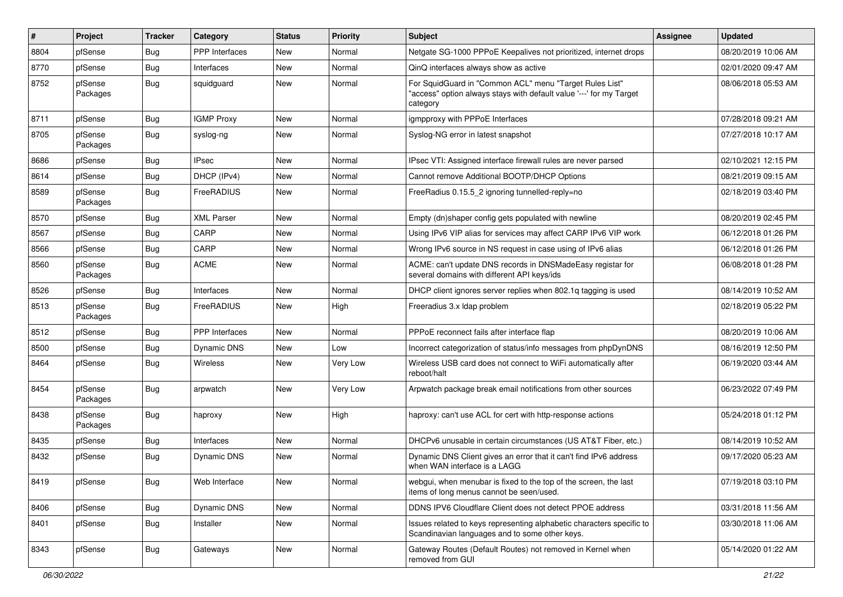| #    | Project             | <b>Tracker</b> | Category              | <b>Status</b> | <b>Priority</b> | Subject                                                                                                                                    | <b>Assignee</b> | <b>Updated</b>      |
|------|---------------------|----------------|-----------------------|---------------|-----------------|--------------------------------------------------------------------------------------------------------------------------------------------|-----------------|---------------------|
| 8804 | pfSense             | Bug            | <b>PPP</b> Interfaces | <b>New</b>    | Normal          | Netgate SG-1000 PPPoE Keepalives not prioritized, internet drops                                                                           |                 | 08/20/2019 10:06 AM |
| 8770 | pfSense             | Bug            | Interfaces            | New           | Normal          | QinQ interfaces always show as active                                                                                                      |                 | 02/01/2020 09:47 AM |
| 8752 | pfSense<br>Packages | Bug            | squidguard            | New           | Normal          | For SquidGuard in "Common ACL" menu "Target Rules List"<br>"access" option always stays with default value '---' for my Target<br>category |                 | 08/06/2018 05:53 AM |
| 8711 | pfSense             | Bug            | <b>IGMP Proxy</b>     | New           | Normal          | igmpproxy with PPPoE Interfaces                                                                                                            |                 | 07/28/2018 09:21 AM |
| 8705 | pfSense<br>Packages | Bug            | syslog-ng             | New           | Normal          | Syslog-NG error in latest snapshot                                                                                                         |                 | 07/27/2018 10:17 AM |
| 8686 | pfSense             | Bug            | <b>IPsec</b>          | New           | Normal          | IPsec VTI: Assigned interface firewall rules are never parsed                                                                              |                 | 02/10/2021 12:15 PM |
| 8614 | pfSense             | <b>Bug</b>     | DHCP (IPv4)           | New           | Normal          | Cannot remove Additional BOOTP/DHCP Options                                                                                                |                 | 08/21/2019 09:15 AM |
| 8589 | pfSense<br>Packages | Bug            | FreeRADIUS            | New           | Normal          | FreeRadius 0.15.5_2 ignoring tunnelled-reply=no                                                                                            |                 | 02/18/2019 03:40 PM |
| 8570 | pfSense             | Bug            | <b>XML Parser</b>     | <b>New</b>    | Normal          | Empty (dn)shaper config gets populated with newline                                                                                        |                 | 08/20/2019 02:45 PM |
| 8567 | pfSense             | Bug            | CARP                  | New           | Normal          | Using IPv6 VIP alias for services may affect CARP IPv6 VIP work                                                                            |                 | 06/12/2018 01:26 PM |
| 8566 | pfSense             | Bug            | CARP                  | New           | Normal          | Wrong IPv6 source in NS request in case using of IPv6 alias                                                                                |                 | 06/12/2018 01:26 PM |
| 8560 | pfSense<br>Packages | Bug            | <b>ACME</b>           | New           | Normal          | ACME: can't update DNS records in DNSMadeEasy registar for<br>several domains with different API keys/ids                                  |                 | 06/08/2018 01:28 PM |
| 8526 | pfSense             | Bug            | Interfaces            | New           | Normal          | DHCP client ignores server replies when 802.1g tagging is used                                                                             |                 | 08/14/2019 10:52 AM |
| 8513 | pfSense<br>Packages | Bug            | FreeRADIUS            | New           | High            | Freeradius 3.x Idap problem                                                                                                                |                 | 02/18/2019 05:22 PM |
| 8512 | pfSense             | Bug            | <b>PPP</b> Interfaces | <b>New</b>    | Normal          | PPPoE reconnect fails after interface flap                                                                                                 |                 | 08/20/2019 10:06 AM |
| 8500 | pfSense             | Bug            | Dynamic DNS           | New           | Low             | Incorrect categorization of status/info messages from phpDynDNS                                                                            |                 | 08/16/2019 12:50 PM |
| 8464 | pfSense             | Bug            | Wireless              | New           | Very Low        | Wireless USB card does not connect to WiFi automatically after<br>reboot/halt                                                              |                 | 06/19/2020 03:44 AM |
| 8454 | pfSense<br>Packages | Bug            | arpwatch              | New           | Very Low        | Arpwatch package break email notifications from other sources                                                                              |                 | 06/23/2022 07:49 PM |
| 8438 | pfSense<br>Packages | Bug            | haproxy               | New           | High            | haproxy: can't use ACL for cert with http-response actions                                                                                 |                 | 05/24/2018 01:12 PM |
| 8435 | pfSense             | <b>Bug</b>     | Interfaces            | New           | Normal          | DHCPv6 unusable in certain circumstances (US AT&T Fiber, etc.)                                                                             |                 | 08/14/2019 10:52 AM |
| 8432 | pfSense             | Bug            | <b>Dynamic DNS</b>    | <b>New</b>    | Normal          | Dynamic DNS Client gives an error that it can't find IPv6 address<br>when WAN interface is a LAGG                                          |                 | 09/17/2020 05:23 AM |
| 8419 | pfSense             | <b>Bug</b>     | Web Interface         | <b>New</b>    | Normal          | webgui, when menubar is fixed to the top of the screen, the last<br>items of long menus cannot be seen/used.                               |                 | 07/19/2018 03:10 PM |
| 8406 | pfSense             | <b>Bug</b>     | Dynamic DNS           | New           | Normal          | DDNS IPV6 Cloudflare Client does not detect PPOE address                                                                                   |                 | 03/31/2018 11:56 AM |
| 8401 | pfSense             | <b>Bug</b>     | Installer             | New           | Normal          | Issues related to keys representing alphabetic characters specific to<br>Scandinavian languages and to some other keys.                    |                 | 03/30/2018 11:06 AM |
| 8343 | pfSense             | <b>Bug</b>     | Gateways              | New           | Normal          | Gateway Routes (Default Routes) not removed in Kernel when<br>removed from GUI                                                             |                 | 05/14/2020 01:22 AM |